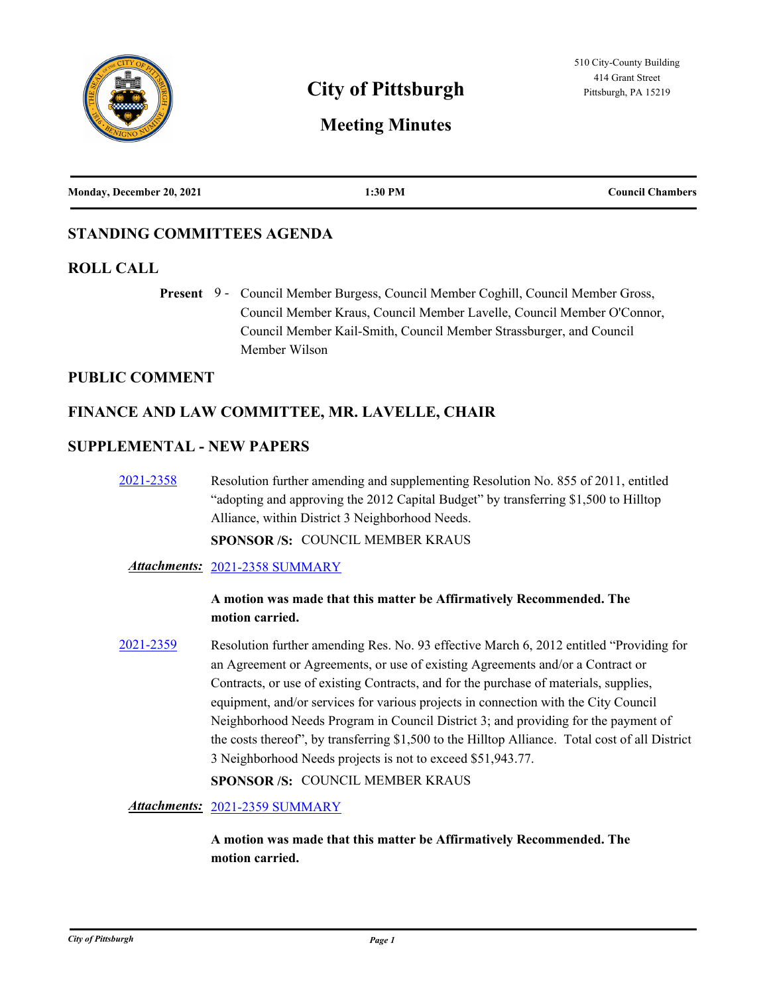

# **City of Pittsburgh Pittsburgh Pittsburgh, PA 15219**

# **Meeting Minutes**

| Monday, December 20, 2021 | 1:30 PM | <b>Council Chambers</b> |
|---------------------------|---------|-------------------------|
|                           |         |                         |

# **STANDING COMMITTEES AGENDA**

# **ROLL CALL**

Present 9 - Council Member Burgess, Council Member Coghill, Council Member Gross, Council Member Kraus, Council Member Lavelle, Council Member O'Connor, Council Member Kail-Smith, Council Member Strassburger, and Council Member Wilson

### **PUBLIC COMMENT**

# **FINANCE AND LAW COMMITTEE, MR. LAVELLE, CHAIR**

### **SUPPLEMENTAL - NEW PAPERS**

[2021-2358](http://pittsburgh.legistar.com/gateway.aspx?m=l&id=/matter.aspx?key=27266) Resolution further amending and supplementing Resolution No. 855 of 2011, entitled "adopting and approving the 2012 Capital Budget" by transferring \$1,500 to Hilltop Alliance, within District 3 Neighborhood Needs.

**SPONSOR /S:** COUNCIL MEMBER KRAUS

#### *Attachments:* [2021-2358 SUMMARY](http://pittsburgh.legistar.com/gateway.aspx?M=F&ID=26a3eb2f-5e09-4b5d-a9b0-a351a5c35267.docx)

# **A motion was made that this matter be Affirmatively Recommended. The motion carried.**

[2021-2359](http://pittsburgh.legistar.com/gateway.aspx?m=l&id=/matter.aspx?key=27267) Resolution further amending Res. No. 93 effective March 6, 2012 entitled "Providing for an Agreement or Agreements, or use of existing Agreements and/or a Contract or Contracts, or use of existing Contracts, and for the purchase of materials, supplies, equipment, and/or services for various projects in connection with the City Council Neighborhood Needs Program in Council District 3; and providing for the payment of the costs thereof", by transferring \$1,500 to the Hilltop Alliance. Total cost of all District 3 Neighborhood Needs projects is not to exceed \$51,943.77.

**SPONSOR /S:** COUNCIL MEMBER KRAUS

*Attachments:* [2021-2359 SUMMARY](http://pittsburgh.legistar.com/gateway.aspx?M=F&ID=1b277b74-7ceb-4c67-b3ec-9efea5866188.docx)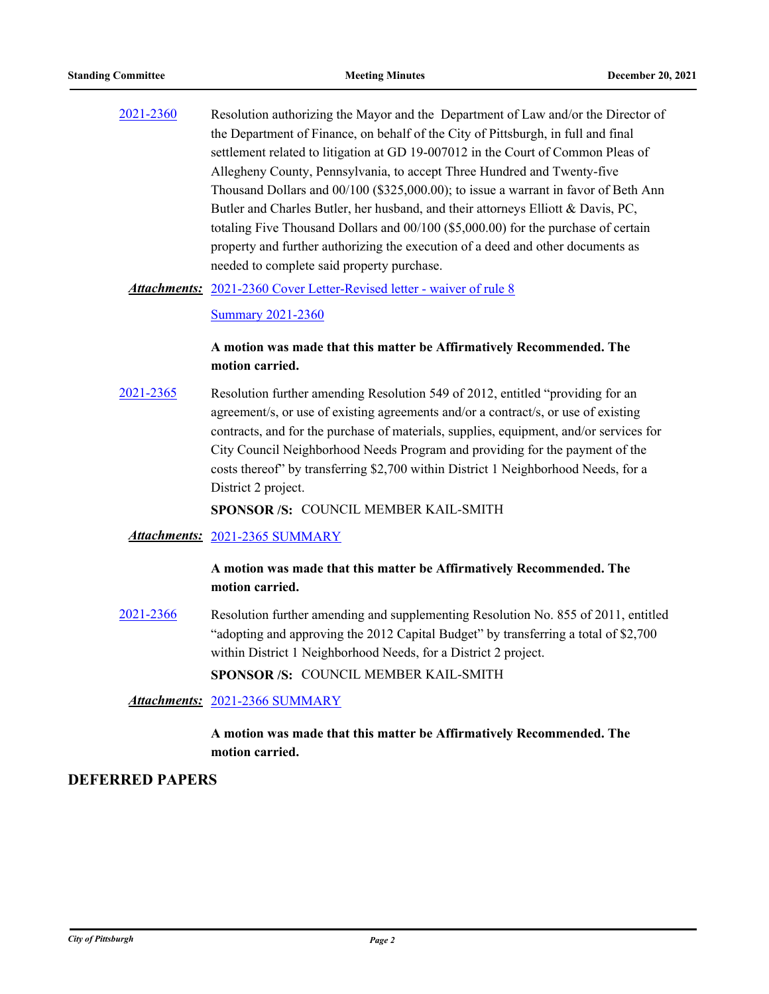[2021-2360](http://pittsburgh.legistar.com/gateway.aspx?m=l&id=/matter.aspx?key=27268) Resolution authorizing the Mayor and the Department of Law and/or the Director of the Department of Finance, on behalf of the City of Pittsburgh, in full and final settlement related to litigation at GD 19-007012 in the Court of Common Pleas of Allegheny County, Pennsylvania, to accept Three Hundred and Twenty-five Thousand Dollars and 00/100 (\$325,000.00); to issue a warrant in favor of Beth Ann Butler and Charles Butler, her husband, and their attorneys Elliott & Davis, PC, totaling Five Thousand Dollars and 00/100 (\$5,000.00) for the purchase of certain property and further authorizing the execution of a deed and other documents as needed to complete said property purchase.

Attachments: [2021-2360 Cover Letter-Revised letter - waiver of rule 8](http://pittsburgh.legistar.com/gateway.aspx?M=F&ID=91b24d61-82b8-4bfd-924d-3ed065ef296b.docx)

[Summary 2021-2360](http://pittsburgh.legistar.com/gateway.aspx?M=F&ID=42d0eebf-a5e8-4158-91a1-52f5b745d96e.docx)

### **A motion was made that this matter be Affirmatively Recommended. The motion carried.**

[2021-2365](http://pittsburgh.legistar.com/gateway.aspx?m=l&id=/matter.aspx?key=27273) Resolution further amending Resolution 549 of 2012, entitled "providing for an agreement/s, or use of existing agreements and/or a contract/s, or use of existing contracts, and for the purchase of materials, supplies, equipment, and/or services for City Council Neighborhood Needs Program and providing for the payment of the costs thereof" by transferring \$2,700 within District 1 Neighborhood Needs, for a District 2 project.

**SPONSOR /S:** COUNCIL MEMBER KAIL-SMITH

#### *Attachments:* [2021-2365 SUMMARY](http://pittsburgh.legistar.com/gateway.aspx?M=F&ID=8c69f1e7-ab86-4992-954c-e2689d5f9a68.docx)

### **A motion was made that this matter be Affirmatively Recommended. The motion carried.**

[2021-2366](http://pittsburgh.legistar.com/gateway.aspx?m=l&id=/matter.aspx?key=27274) Resolution further amending and supplementing Resolution No. 855 of 2011, entitled "adopting and approving the 2012 Capital Budget" by transferring a total of \$2,700 within District 1 Neighborhood Needs, for a District 2 project. **SPONSOR /S:** COUNCIL MEMBER KAIL-SMITH

*Attachments:* [2021-2366 SUMMARY](http://pittsburgh.legistar.com/gateway.aspx?M=F&ID=96fdee35-0f2f-4ddd-b582-4d55725be309.docx)

# **A motion was made that this matter be Affirmatively Recommended. The motion carried.**

# **DEFERRED PAPERS**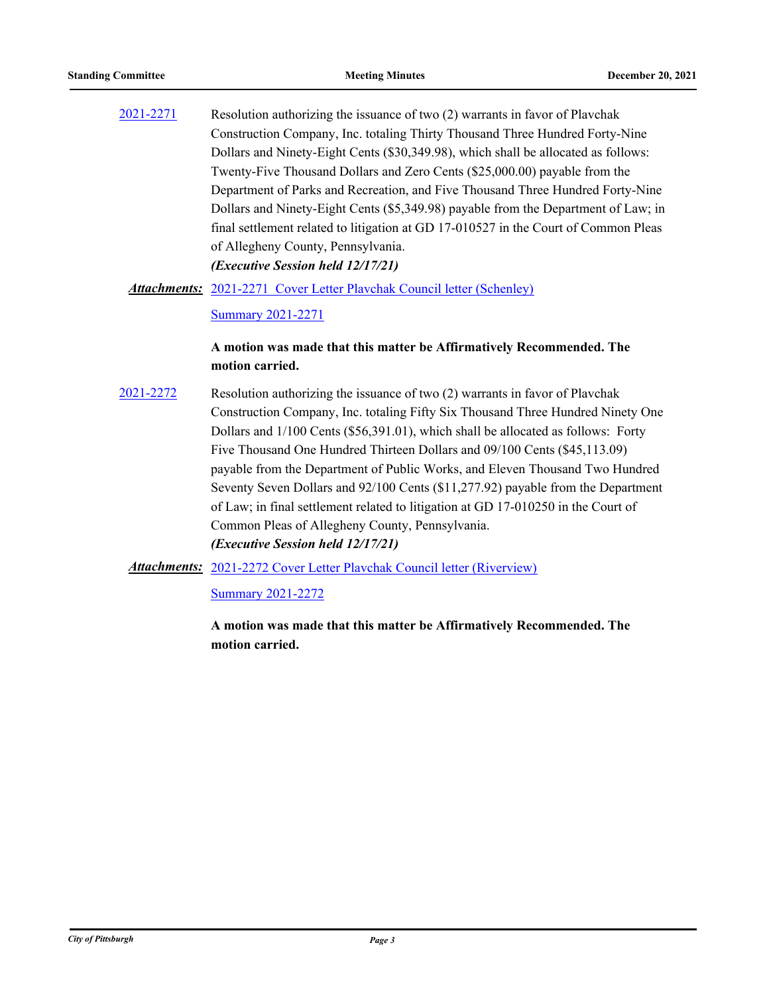[2021-2271](http://pittsburgh.legistar.com/gateway.aspx?m=l&id=/matter.aspx?key=27173) Resolution authorizing the issuance of two (2) warrants in favor of Plavchak Construction Company, Inc. totaling Thirty Thousand Three Hundred Forty-Nine Dollars and Ninety-Eight Cents (\$30,349.98), which shall be allocated as follows: Twenty-Five Thousand Dollars and Zero Cents (\$25,000.00) payable from the Department of Parks and Recreation, and Five Thousand Three Hundred Forty-Nine Dollars and Ninety-Eight Cents (\$5,349.98) payable from the Department of Law; in final settlement related to litigation at GD 17-010527 in the Court of Common Pleas of Allegheny County, Pennsylvania. *(Executive Session held 12/17/21)*

Attachments: [2021-2271 Cover Letter Plavchak Council letter \(Schenley\)](http://pittsburgh.legistar.com/gateway.aspx?M=F&ID=e8fb1457-3c9d-4515-babe-e7d001092a53.docx)

[Summary 2021-2271](http://pittsburgh.legistar.com/gateway.aspx?M=F&ID=97e07721-fc2e-4bc2-89a7-0bf296d84b79.docx)

### **A motion was made that this matter be Affirmatively Recommended. The motion carried.**

[2021-2272](http://pittsburgh.legistar.com/gateway.aspx?m=l&id=/matter.aspx?key=27174) Resolution authorizing the issuance of two (2) warrants in favor of Plavchak Construction Company, Inc. totaling Fifty Six Thousand Three Hundred Ninety One Dollars and 1/100 Cents (\$56,391.01), which shall be allocated as follows: Forty Five Thousand One Hundred Thirteen Dollars and 09/100 Cents (\$45,113.09) payable from the Department of Public Works, and Eleven Thousand Two Hundred Seventy Seven Dollars and 92/100 Cents (\$11,277.92) payable from the Department of Law; in final settlement related to litigation at GD 17-010250 in the Court of Common Pleas of Allegheny County, Pennsylvania. *(Executive Session held 12/17/21)*

Attachments: [2021-2272 Cover Letter Plavchak Council letter \(Riverview\)](http://pittsburgh.legistar.com/gateway.aspx?M=F&ID=a75700d4-eca9-4f05-90c7-9c7c9d4226de.docx)

[Summary 2021-2272](http://pittsburgh.legistar.com/gateway.aspx?M=F&ID=f3d2cfe2-e145-4c9a-a8b0-644c4f0b05ab.docx)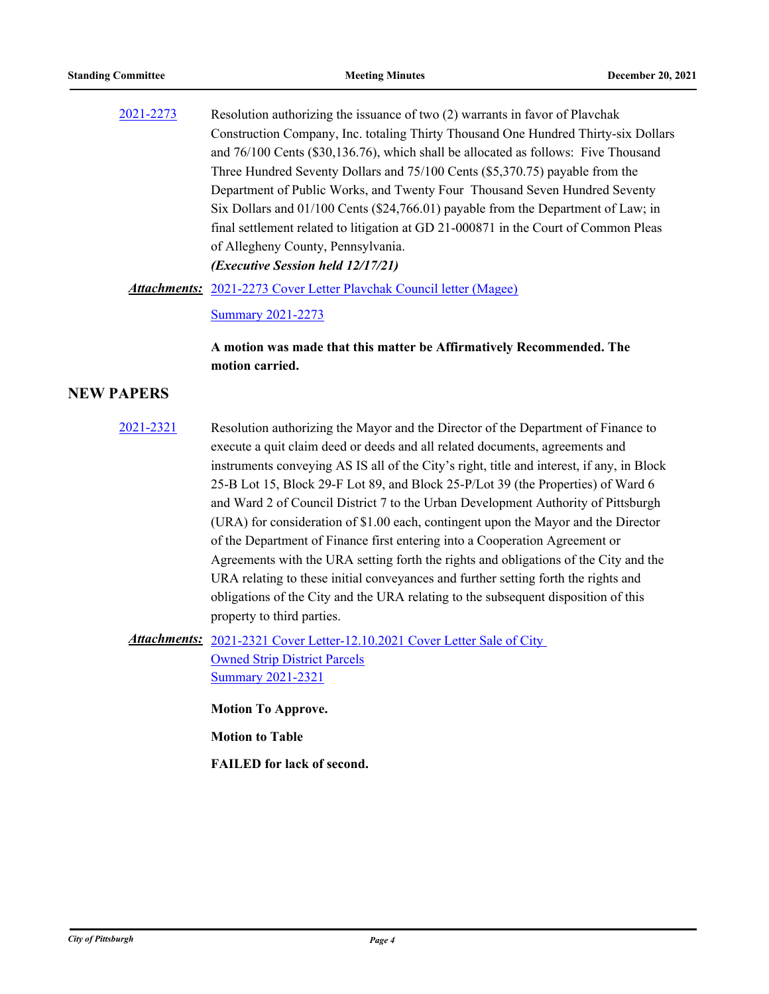[2021-2273](http://pittsburgh.legistar.com/gateway.aspx?m=l&id=/matter.aspx?key=27175) Resolution authorizing the issuance of two (2) warrants in favor of Plavchak Construction Company, Inc. totaling Thirty Thousand One Hundred Thirty-six Dollars and 76/100 Cents (\$30,136.76), which shall be allocated as follows: Five Thousand Three Hundred Seventy Dollars and 75/100 Cents (\$5,370.75) payable from the Department of Public Works, and Twenty Four Thousand Seven Hundred Seventy Six Dollars and 01/100 Cents (\$24,766.01) payable from the Department of Law; in final settlement related to litigation at GD 21-000871 in the Court of Common Pleas of Allegheny County, Pennsylvania. *(Executive Session held 12/17/21)*

Attachments: [2021-2273 Cover Letter Plavchak Council letter \(Magee\)](http://pittsburgh.legistar.com/gateway.aspx?M=F&ID=8fdcde13-8368-4fef-9be3-fe72ef1cbcc9.docx)

[Summary 2021-2273](http://pittsburgh.legistar.com/gateway.aspx?M=F&ID=ed893a9a-f535-4082-ac8a-85c5fdc57757.docx)

**A motion was made that this matter be Affirmatively Recommended. The motion carried.**

### **NEW PAPERS**

[2021-2321](http://pittsburgh.legistar.com/gateway.aspx?m=l&id=/matter.aspx?key=27224) Resolution authorizing the Mayor and the Director of the Department of Finance to execute a quit claim deed or deeds and all related documents, agreements and instruments conveying AS IS all of the City's right, title and interest, if any, in Block 25-B Lot 15, Block 29-F Lot 89, and Block 25-P/Lot 39 (the Properties) of Ward 6 and Ward 2 of Council District 7 to the Urban Development Authority of Pittsburgh (URA) for consideration of \$1.00 each, contingent upon the Mayor and the Director of the Department of Finance first entering into a Cooperation Agreement or Agreements with the URA setting forth the rights and obligations of the City and the URA relating to these initial conveyances and further setting forth the rights and obligations of the City and the URA relating to the subsequent disposition of this property to third parties.

Attachments: 2021-2321 Cover Letter-12.10.2021 Cover Letter Sale of City Owned Strip District Parcels **[Summary 2021-2321](http://pittsburgh.legistar.com/gateway.aspx?M=F&ID=e30a81f4-2b59-4426-bc09-095f43580027.docx)** 

**Motion To Approve.**

**Motion to Table**

**FAILED for lack of second.**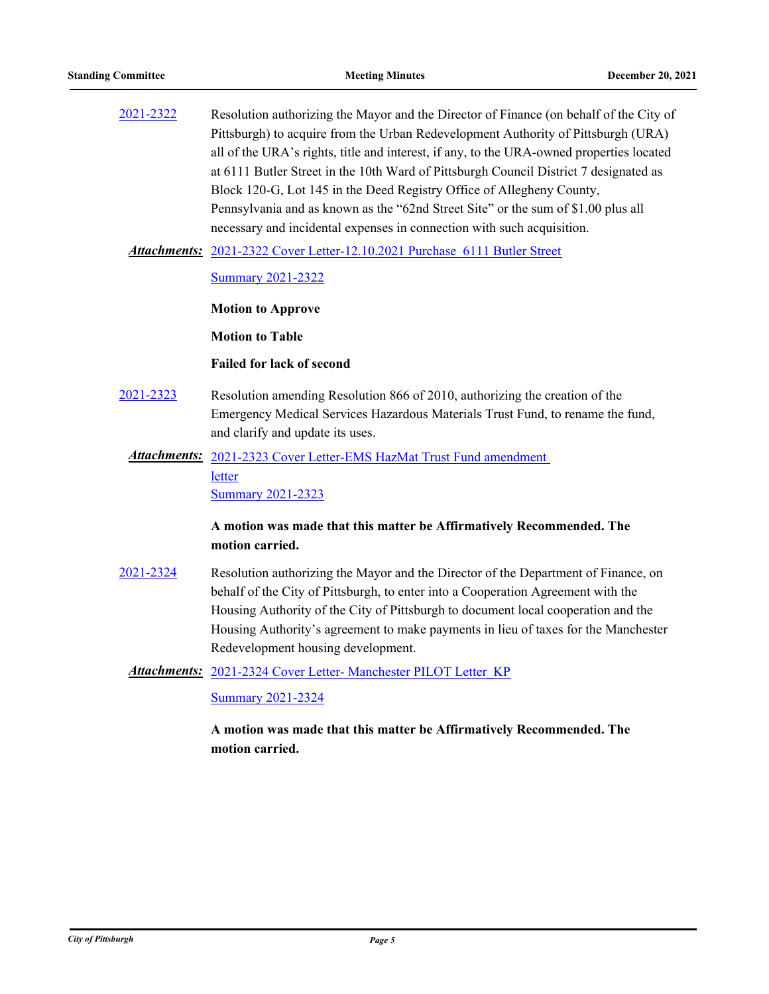| 2021-2322 | Resolution authorizing the Mayor and the Director of Finance (on behalf of the City of   |
|-----------|------------------------------------------------------------------------------------------|
|           | Pittsburgh) to acquire from the Urban Redevelopment Authority of Pittsburgh (URA)        |
|           | all of the URA's rights, title and interest, if any, to the URA-owned properties located |
|           | at 6111 Butler Street in the 10th Ward of Pittsburgh Council District 7 designated as    |
|           | Block 120-G, Lot 145 in the Deed Registry Office of Allegheny County,                    |
|           | Pennsylvania and as known as the "62nd Street Site" or the sum of \$1.00 plus all        |
|           | necessary and incidental expenses in connection with such acquisition.                   |
|           |                                                                                          |

[2021-2322 Cover Letter-12.10.2021 Purchase 6111 Butler Street](http://pittsburgh.legistar.com/gateway.aspx?M=F&ID=2000f42d-2ecc-416b-a8ae-9a5c0a898a85.docx) *Attachments:*

[Summary 2021-2322](http://pittsburgh.legistar.com/gateway.aspx?M=F&ID=dc05375f-d1ee-429b-b7e5-0ae879371eab.docx)

**Motion to Approve**

**Motion to Table**

**Failed for lack of second**

[2021-2323](http://pittsburgh.legistar.com/gateway.aspx?m=l&id=/matter.aspx?key=27226) Resolution amending Resolution 866 of 2010, authorizing the creation of the Emergency Medical Services Hazardous Materials Trust Fund, to rename the fund, and clarify and update its uses.

Attachments: 2021-2323 Cover Letter-EMS HazMat Trust Fund amendment letter [Summary 2021-2323](http://pittsburgh.legistar.com/gateway.aspx?M=F&ID=fd5f7918-62da-47eb-9fb9-bab44a495118.docx)

# **A motion was made that this matter be Affirmatively Recommended. The motion carried.**

[2021-2324](http://pittsburgh.legistar.com/gateway.aspx?m=l&id=/matter.aspx?key=27227) Resolution authorizing the Mayor and the Director of the Department of Finance, on behalf of the City of Pittsburgh, to enter into a Cooperation Agreement with the Housing Authority of the City of Pittsburgh to document local cooperation and the Housing Authority's agreement to make payments in lieu of taxes for the Manchester Redevelopment housing development.

Attachments: 2021-2324 Cover Letter- Manchester PILOT Letter KP

[Summary 2021-2324](http://pittsburgh.legistar.com/gateway.aspx?M=F&ID=ef4b1359-fcc0-40fb-9621-fa638b1295be.docx)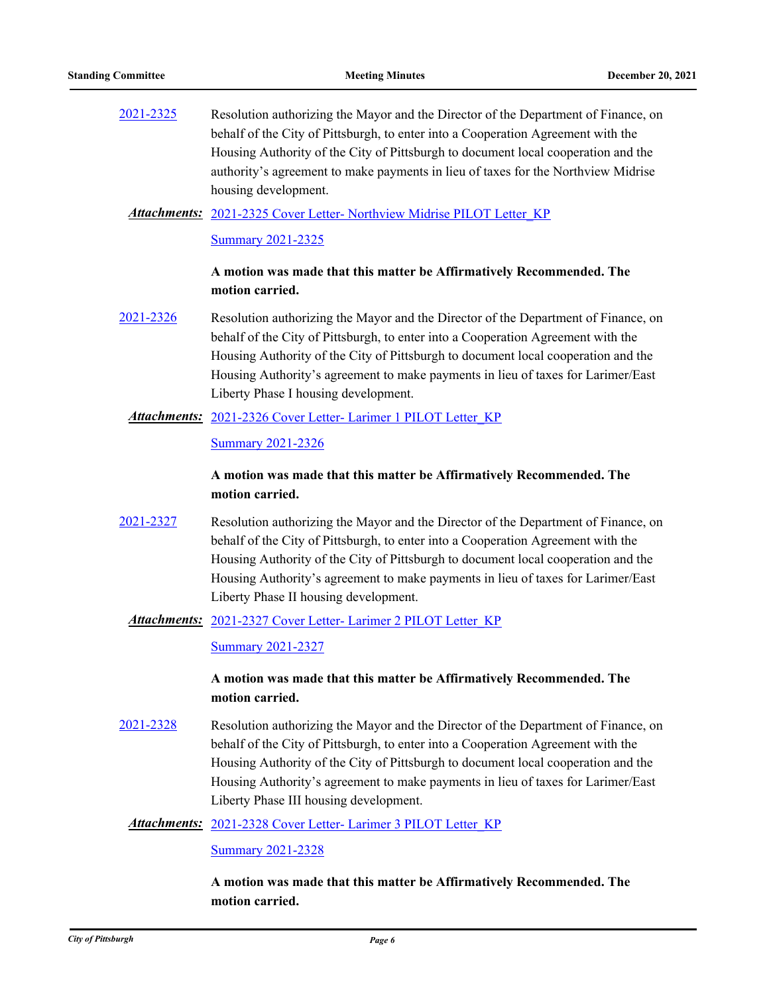[2021-2325](http://pittsburgh.legistar.com/gateway.aspx?m=l&id=/matter.aspx?key=27228) Resolution authorizing the Mayor and the Director of the Department of Finance, on behalf of the City of Pittsburgh, to enter into a Cooperation Agreement with the Housing Authority of the City of Pittsburgh to document local cooperation and the authority's agreement to make payments in lieu of taxes for the Northview Midrise housing development.

### Attachments: [2021-2325 Cover Letter- Northview Midrise PILOT Letter\\_KP](http://pittsburgh.legistar.com/gateway.aspx?M=F&ID=ecb99720-3a94-4fc0-b9c2-c4f0b4f37038.docx)

#### [Summary 2021-2325](http://pittsburgh.legistar.com/gateway.aspx?M=F&ID=33f7edb7-1790-471e-8db7-ab31e6168cb0.docx)

#### **A motion was made that this matter be Affirmatively Recommended. The motion carried.**

[2021-2326](http://pittsburgh.legistar.com/gateway.aspx?m=l&id=/matter.aspx?key=27229) Resolution authorizing the Mayor and the Director of the Department of Finance, on behalf of the City of Pittsburgh, to enter into a Cooperation Agreement with the Housing Authority of the City of Pittsburgh to document local cooperation and the Housing Authority's agreement to make payments in lieu of taxes for Larimer/East Liberty Phase I housing development.

#### Attachments: 2021-2326 Cover Letter- Larimer 1 PILOT Letter KP

#### [Summary 2021-2326](http://pittsburgh.legistar.com/gateway.aspx?M=F&ID=e3888a4a-6232-4555-8a8a-4b9911988be5.docx)

# **A motion was made that this matter be Affirmatively Recommended. The motion carried.**

[2021-2327](http://pittsburgh.legistar.com/gateway.aspx?m=l&id=/matter.aspx?key=27230) Resolution authorizing the Mayor and the Director of the Department of Finance, on behalf of the City of Pittsburgh, to enter into a Cooperation Agreement with the Housing Authority of the City of Pittsburgh to document local cooperation and the Housing Authority's agreement to make payments in lieu of taxes for Larimer/East Liberty Phase II housing development.

#### Attachments: 2021-2327 Cover Letter- Larimer 2 PILOT Letter KP

[Summary 2021-2327](http://pittsburgh.legistar.com/gateway.aspx?M=F&ID=8ad0bbf3-63ab-4b07-aa35-0fd1b124d0c0.docx)

#### **A motion was made that this matter be Affirmatively Recommended. The motion carried.**

[2021-2328](http://pittsburgh.legistar.com/gateway.aspx?m=l&id=/matter.aspx?key=27231) Resolution authorizing the Mayor and the Director of the Department of Finance, on behalf of the City of Pittsburgh, to enter into a Cooperation Agreement with the Housing Authority of the City of Pittsburgh to document local cooperation and the Housing Authority's agreement to make payments in lieu of taxes for Larimer/East Liberty Phase III housing development.

#### Attachments: 2021-2328 Cover Letter- Larimer 3 PILOT Letter KP

[Summary 2021-2328](http://pittsburgh.legistar.com/gateway.aspx?M=F&ID=2124a03d-4d17-4e4e-b7b3-9eb0ffacae97.docx)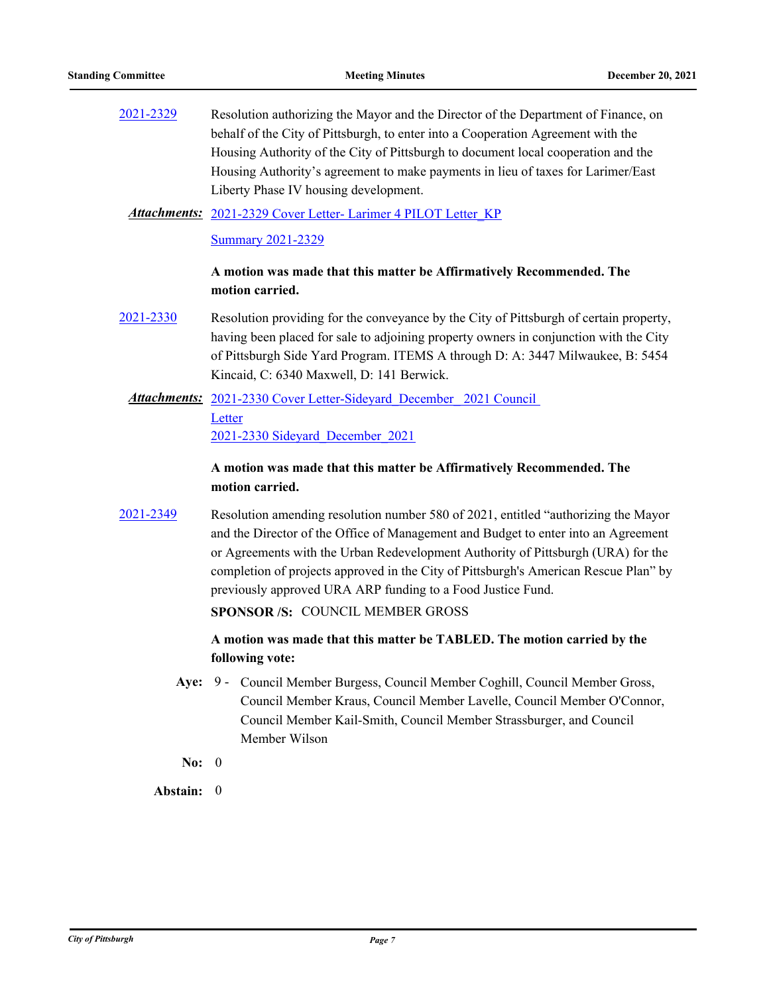[2021-2329](http://pittsburgh.legistar.com/gateway.aspx?m=l&id=/matter.aspx?key=27232) Resolution authorizing the Mayor and the Director of the Department of Finance, on behalf of the City of Pittsburgh, to enter into a Cooperation Agreement with the Housing Authority of the City of Pittsburgh to document local cooperation and the Housing Authority's agreement to make payments in lieu of taxes for Larimer/East Liberty Phase IV housing development.

#### [2021-2329 Cover Letter- Larimer 4 PILOT Letter\\_KP](http://pittsburgh.legistar.com/gateway.aspx?M=F&ID=36dbc17b-cec8-4e81-ace3-7041a06fdebc.docx) *Attachments:*

[Summary 2021-2329](http://pittsburgh.legistar.com/gateway.aspx?M=F&ID=8250289d-a5a1-4c7a-984b-b76a6098d646.docx)

### **A motion was made that this matter be Affirmatively Recommended. The motion carried.**

- [2021-2330](http://pittsburgh.legistar.com/gateway.aspx?m=l&id=/matter.aspx?key=27233) Resolution providing for the conveyance by the City of Pittsburgh of certain property, having been placed for sale to adjoining property owners in conjunction with the City of Pittsburgh Side Yard Program. ITEMS A through D: A: 3447 Milwaukee, B: 5454 Kincaid, C: 6340 Maxwell, D: 141 Berwick.
- Attachments: 2021-2330 Cover Letter-Sideyard December 2021 Council Letter [2021-2330 Sideyard\\_December\\_2021](http://pittsburgh.legistar.com/gateway.aspx?M=F&ID=17269911-8aa9-4a40-afa4-3e3255f6c4a3.pdf)

### **A motion was made that this matter be Affirmatively Recommended. The motion carried.**

[2021-2349](http://pittsburgh.legistar.com/gateway.aspx?m=l&id=/matter.aspx?key=27252) Resolution amending resolution number 580 of 2021, entitled "authorizing the Mayor and the Director of the Office of Management and Budget to enter into an Agreement or Agreements with the Urban Redevelopment Authority of Pittsburgh (URA) for the completion of projects approved in the City of Pittsburgh's American Rescue Plan" by previously approved URA ARP funding to a Food Justice Fund.

**SPONSOR /S:** COUNCIL MEMBER GROSS

# **A motion was made that this matter be TABLED. The motion carried by the following vote:**

- Aye: 9 Council Member Burgess, Council Member Coghill, Council Member Gross, Council Member Kraus, Council Member Lavelle, Council Member O'Connor, Council Member Kail-Smith, Council Member Strassburger, and Council Member Wilson
- **No:** 0

**Abstain:** 0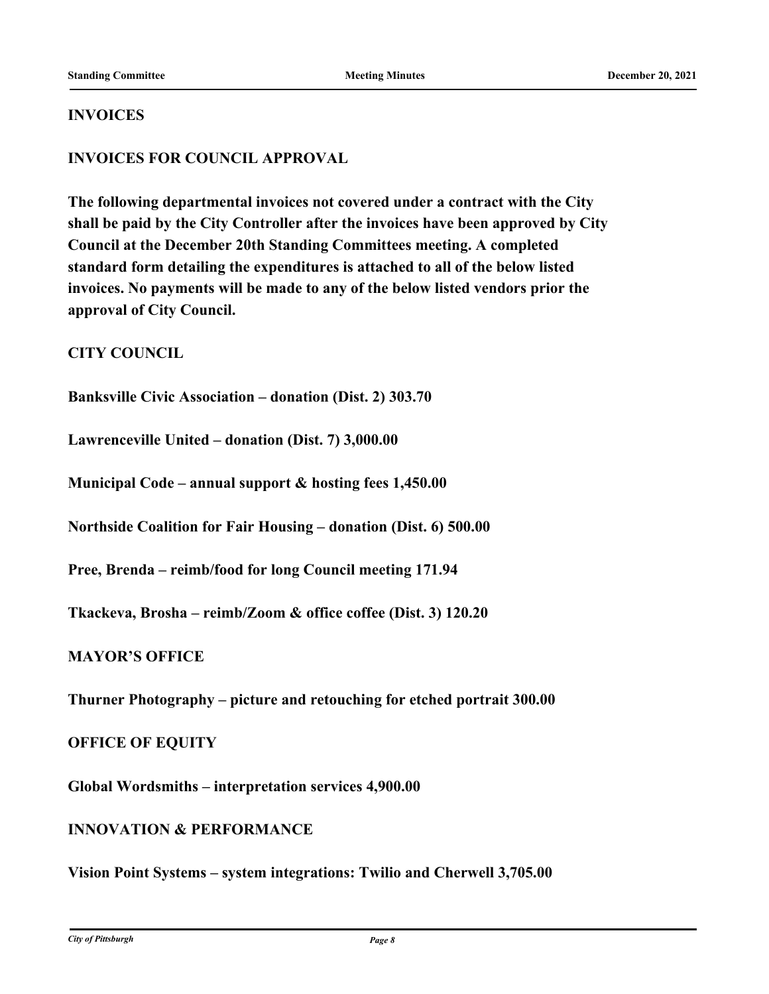### **INVOICES**

# **INVOICES FOR COUNCIL APPROVAL**

**The following departmental invoices not covered under a contract with the City shall be paid by the City Controller after the invoices have been approved by City Council at the December 20th Standing Committees meeting. A completed standard form detailing the expenditures is attached to all of the below listed invoices. No payments will be made to any of the below listed vendors prior the approval of City Council.**

# **CITY COUNCIL**

**Banksville Civic Association – donation (Dist. 2) 303.70**

**Lawrenceville United – donation (Dist. 7) 3,000.00**

**Municipal Code – annual support & hosting fees 1,450.00**

**Northside Coalition for Fair Housing – donation (Dist. 6) 500.00**

**Pree, Brenda – reimb/food for long Council meeting 171.94**

**Tkackeva, Brosha – reimb/Zoom & office coffee (Dist. 3) 120.20**

# **MAYOR'S OFFICE**

**Thurner Photography – picture and retouching for etched portrait 300.00**

#### **OFFICE OF EQUITY**

**Global Wordsmiths – interpretation services 4,900.00**

### **INNOVATION & PERFORMANCE**

**Vision Point Systems – system integrations: Twilio and Cherwell 3,705.00**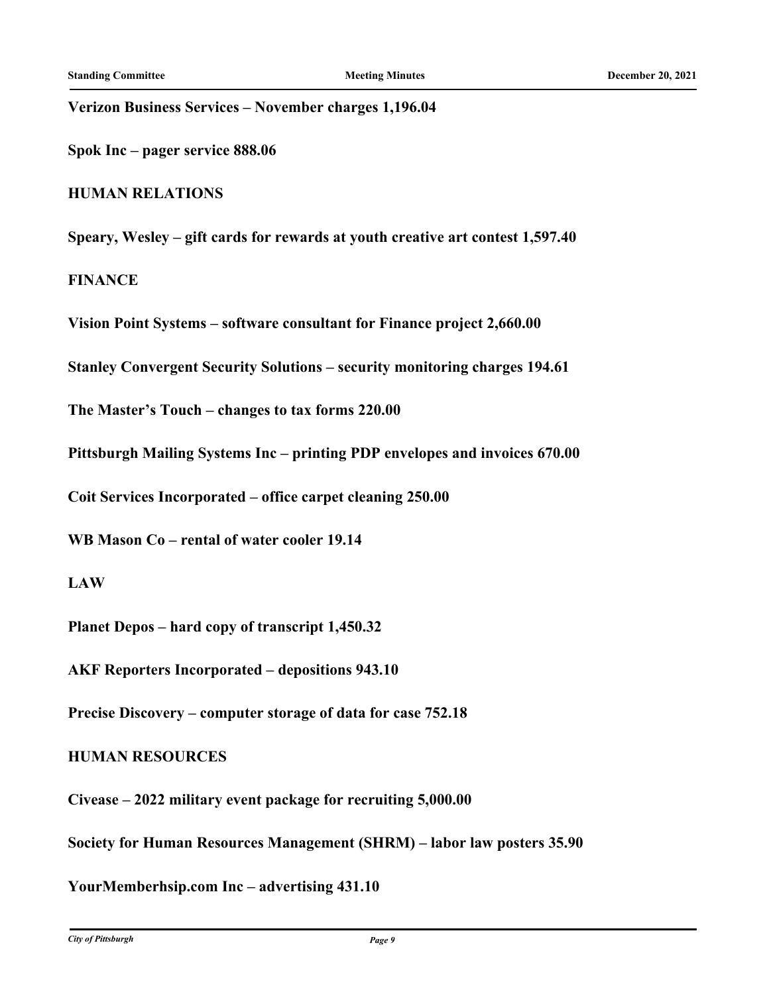**Verizon Business Services – November charges 1,196.04**

**Spok Inc – pager service 888.06**

**HUMAN RELATIONS**

**Speary, Wesley – gift cards for rewards at youth creative art contest 1,597.40**

**FINANCE**

**Vision Point Systems – software consultant for Finance project 2,660.00**

**Stanley Convergent Security Solutions – security monitoring charges 194.61**

**The Master's Touch – changes to tax forms 220.00**

**Pittsburgh Mailing Systems Inc – printing PDP envelopes and invoices 670.00**

**Coit Services Incorporated – office carpet cleaning 250.00**

**WB Mason Co – rental of water cooler 19.14**

**LAW**

**Planet Depos – hard copy of transcript 1,450.32**

**AKF Reporters Incorporated – depositions 943.10**

**Precise Discovery – computer storage of data for case 752.18**

#### **HUMAN RESOURCES**

**Civease – 2022 military event package for recruiting 5,000.00**

**Society for Human Resources Management (SHRM) – labor law posters 35.90**

**YourMemberhsip.com Inc – advertising 431.10**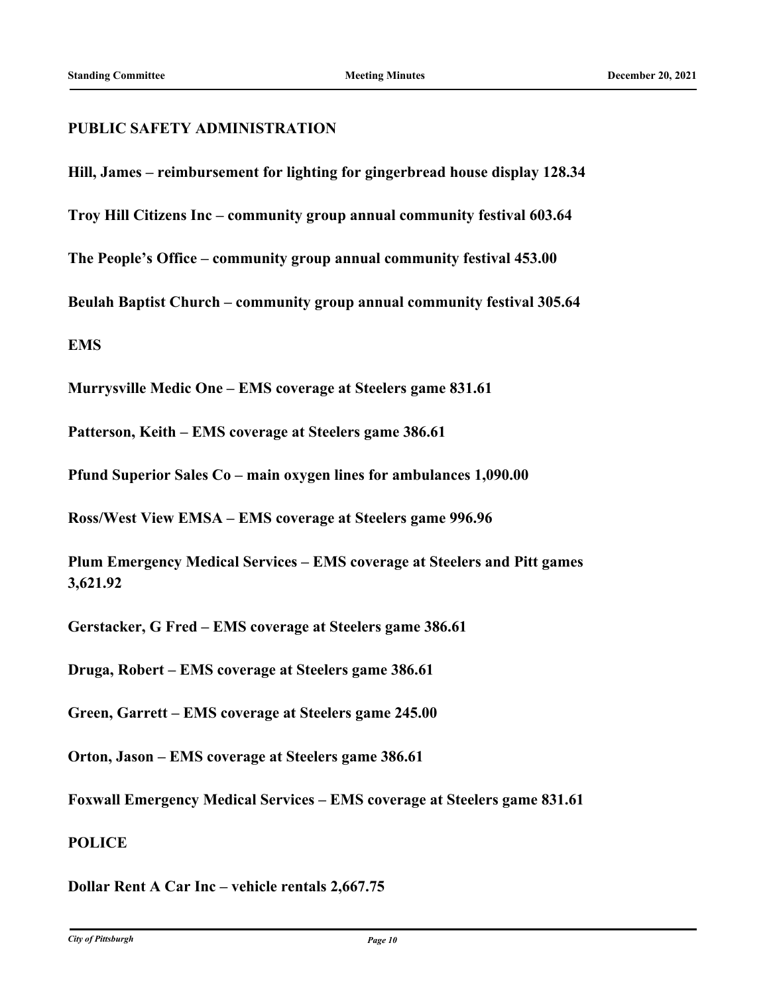### **PUBLIC SAFETY ADMINISTRATION**

**Hill, James – reimbursement for lighting for gingerbread house display 128.34**

**Troy Hill Citizens Inc – community group annual community festival 603.64**

**The People's Office – community group annual community festival 453.00**

**Beulah Baptist Church – community group annual community festival 305.64**

**EMS**

**Murrysville Medic One – EMS coverage at Steelers game 831.61**

**Patterson, Keith – EMS coverage at Steelers game 386.61**

**Pfund Superior Sales Co – main oxygen lines for ambulances 1,090.00**

**Ross/West View EMSA – EMS coverage at Steelers game 996.96**

**Plum Emergency Medical Services – EMS coverage at Steelers and Pitt games 3,621.92**

**Gerstacker, G Fred – EMS coverage at Steelers game 386.61**

**Druga, Robert – EMS coverage at Steelers game 386.61**

**Green, Garrett – EMS coverage at Steelers game 245.00**

**Orton, Jason – EMS coverage at Steelers game 386.61**

**Foxwall Emergency Medical Services – EMS coverage at Steelers game 831.61**

### **POLICE**

**Dollar Rent A Car Inc – vehicle rentals 2,667.75**

*City of Pittsburgh Page 10*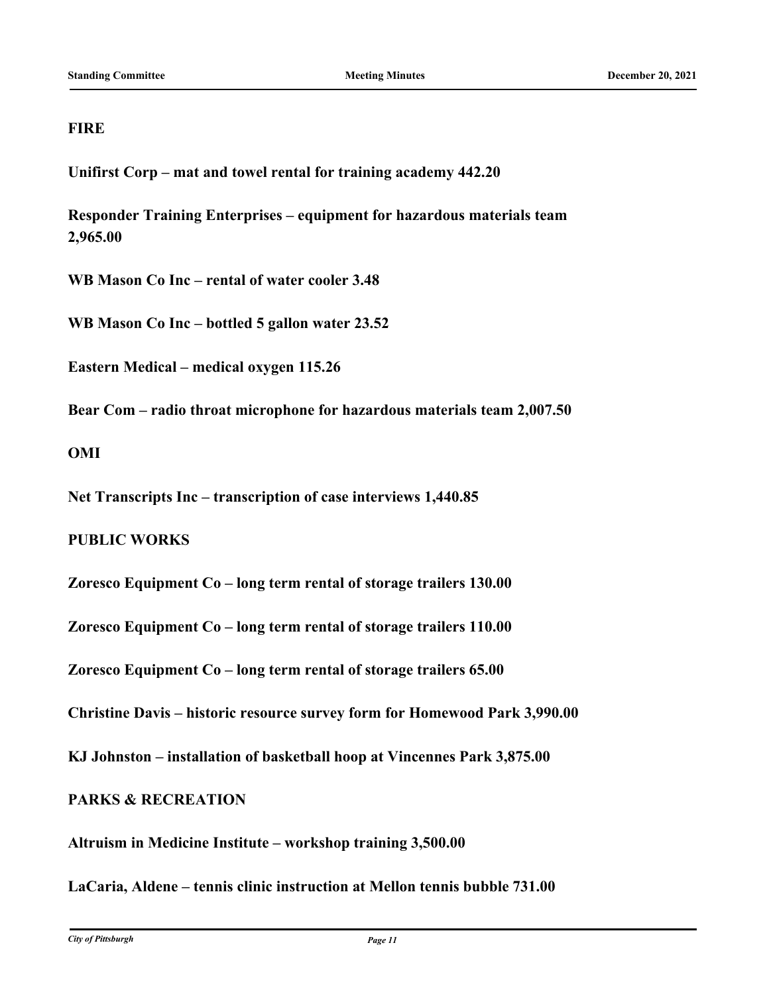# **FIRE**

**Unifirst Corp – mat and towel rental for training academy 442.20**

**Responder Training Enterprises – equipment for hazardous materials team 2,965.00**

**WB Mason Co Inc – rental of water cooler 3.48**

**WB Mason Co Inc – bottled 5 gallon water 23.52**

**Eastern Medical – medical oxygen 115.26**

**Bear Com – radio throat microphone for hazardous materials team 2,007.50**

### **OMI**

**Net Transcripts Inc – transcription of case interviews 1,440.85**

# **PUBLIC WORKS**

**Zoresco Equipment Co – long term rental of storage trailers 130.00**

**Zoresco Equipment Co – long term rental of storage trailers 110.00**

**Zoresco Equipment Co – long term rental of storage trailers 65.00**

**Christine Davis – historic resource survey form for Homewood Park 3,990.00**

**KJ Johnston – installation of basketball hoop at Vincennes Park 3,875.00**

# **PARKS & RECREATION**

**Altruism in Medicine Institute – workshop training 3,500.00**

**LaCaria, Aldene – tennis clinic instruction at Mellon tennis bubble 731.00**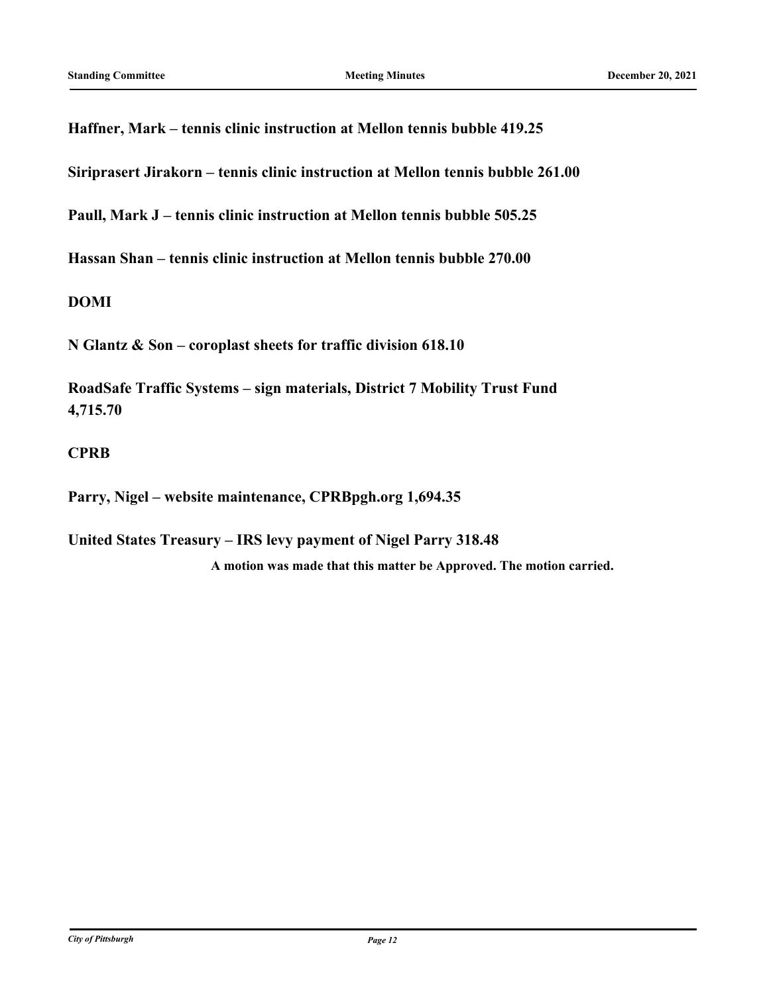**Haffner, Mark – tennis clinic instruction at Mellon tennis bubble 419.25**

**Siriprasert Jirakorn – tennis clinic instruction at Mellon tennis bubble 261.00**

**Paull, Mark J – tennis clinic instruction at Mellon tennis bubble 505.25**

**Hassan Shan – tennis clinic instruction at Mellon tennis bubble 270.00**

**DOMI**

**N Glantz & Son – coroplast sheets for traffic division 618.10**

**RoadSafe Traffic Systems – sign materials, District 7 Mobility Trust Fund 4,715.70**

# **CPRB**

**Parry, Nigel – website maintenance, CPRBpgh.org 1,694.35**

**United States Treasury – IRS levy payment of Nigel Parry 318.48 A motion was made that this matter be Approved. The motion carried.**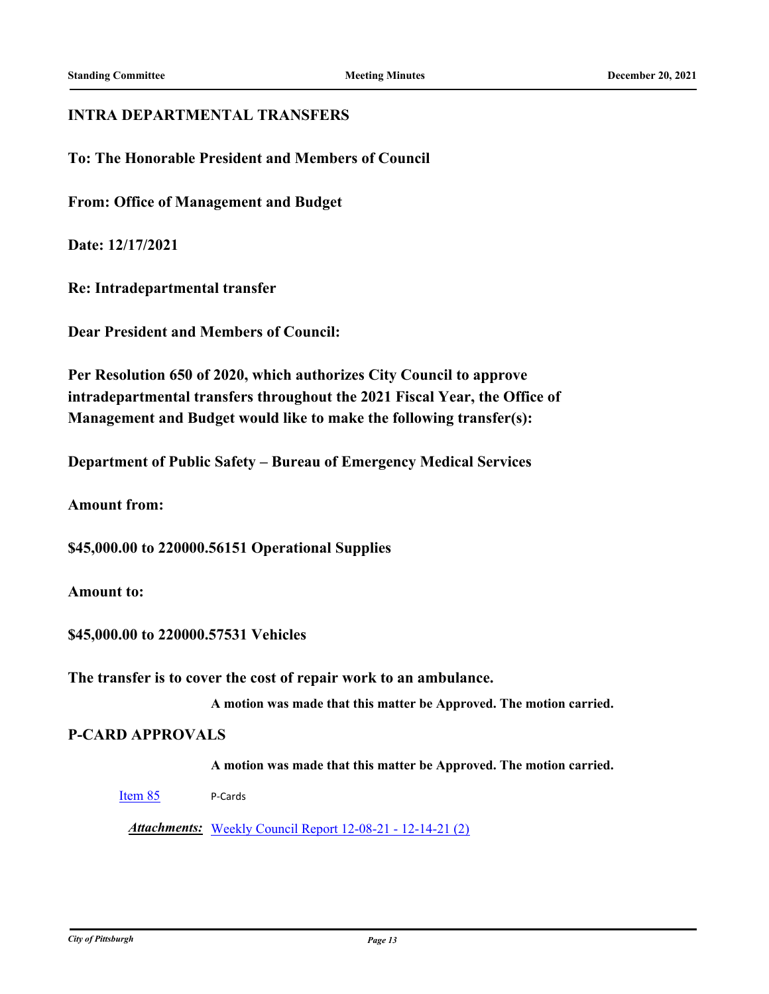#### **INTRA DEPARTMENTAL TRANSFERS**

**To: The Honorable President and Members of Council**

**From: Office of Management and Budget**

**Date: 12/17/2021**

**Re: Intradepartmental transfer**

**Dear President and Members of Council:**

**Per Resolution 650 of 2020, which authorizes City Council to approve intradepartmental transfers throughout the 2021 Fiscal Year, the Office of Management and Budget would like to make the following transfer(s):**

**Department of Public Safety – Bureau of Emergency Medical Services**

**Amount from:**

**\$45,000.00 to 220000.56151 Operational Supplies**

#### **Amount to:**

**\$45,000.00 to 220000.57531 Vehicles**

**The transfer is to cover the cost of repair work to an ambulance.**

**A motion was made that this matter be Approved. The motion carried.**

## **P-CARD APPROVALS**

**A motion was made that this matter be Approved. The motion carried.**

[Item 85](http://pittsburgh.legistar.com/gateway.aspx?m=l&id=/matter.aspx?key=27280) P-Cards

*Attachments:* [Weekly Council Report 12-08-21 - 12-14-21 \(2\)](http://pittsburgh.legistar.com/gateway.aspx?M=F&ID=d3a4242a-934a-41a3-97a5-b1efc26ca551.xls)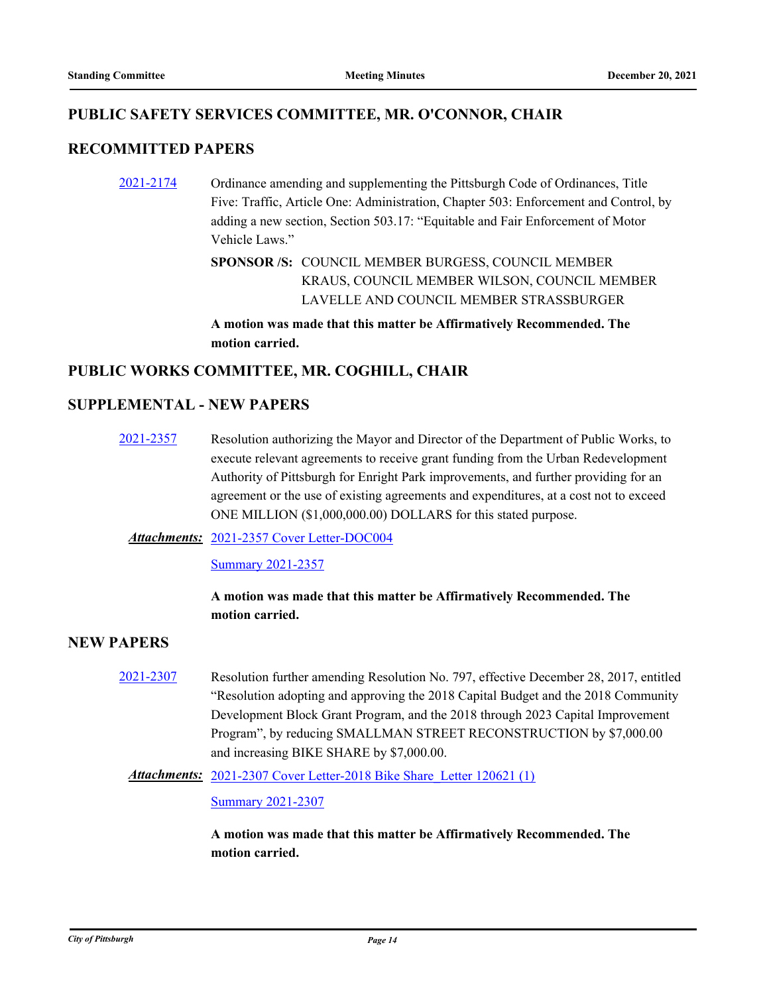# **PUBLIC SAFETY SERVICES COMMITTEE, MR. O'CONNOR, CHAIR**

# **RECOMMITTED PAPERS**

[2021-2174](http://pittsburgh.legistar.com/gateway.aspx?m=l&id=/matter.aspx?key=27067) Ordinance amending and supplementing the Pittsburgh Code of Ordinances, Title Five: Traffic, Article One: Administration, Chapter 503: Enforcement and Control, by adding a new section, Section 503.17: "Equitable and Fair Enforcement of Motor Vehicle Laws."

> SPONSOR /S: COUNCIL MEMBER BURGESS, COUNCIL MEMBER KRAUS, COUNCIL MEMBER WILSON, COUNCIL MEMBER LAVELLE AND COUNCIL MEMBER STRASSBURGER

**A motion was made that this matter be Affirmatively Recommended. The motion carried.**

# **PUBLIC WORKS COMMITTEE, MR. COGHILL, CHAIR**

### **SUPPLEMENTAL - NEW PAPERS**

[2021-2357](http://pittsburgh.legistar.com/gateway.aspx?m=l&id=/matter.aspx?key=27265) Resolution authorizing the Mayor and Director of the Department of Public Works, to execute relevant agreements to receive grant funding from the Urban Redevelopment Authority of Pittsburgh for Enright Park improvements, and further providing for an agreement or the use of existing agreements and expenditures, at a cost not to exceed ONE MILLION (\$1,000,000.00) DOLLARS for this stated purpose.

#### [2021-2357 Cover Letter-DOC004](http://pittsburgh.legistar.com/gateway.aspx?M=F&ID=66714af3-aede-4517-b384-e4b816e18685.PDF) *Attachments:*

[Summary 2021-2357](http://pittsburgh.legistar.com/gateway.aspx?M=F&ID=6a89c556-ab21-4858-b74c-adc66aec33fa.docx)

# **A motion was made that this matter be Affirmatively Recommended. The motion carried.**

#### **NEW PAPERS**

[2021-2307](http://pittsburgh.legistar.com/gateway.aspx?m=l&id=/matter.aspx?key=27210) Resolution further amending Resolution No. 797, effective December 28, 2017, entitled "Resolution adopting and approving the 2018 Capital Budget and the 2018 Community Development Block Grant Program, and the 2018 through 2023 Capital Improvement Program", by reducing SMALLMAN STREET RECONSTRUCTION by \$7,000.00 and increasing BIKE SHARE by \$7,000.00.

Attachments: 2021-2307 Cover Letter-2018 Bike Share Letter 120621 (1)

[Summary 2021-2307](http://pittsburgh.legistar.com/gateway.aspx?M=F&ID=263fdaca-d104-432f-806e-43d85ce18db7.docx)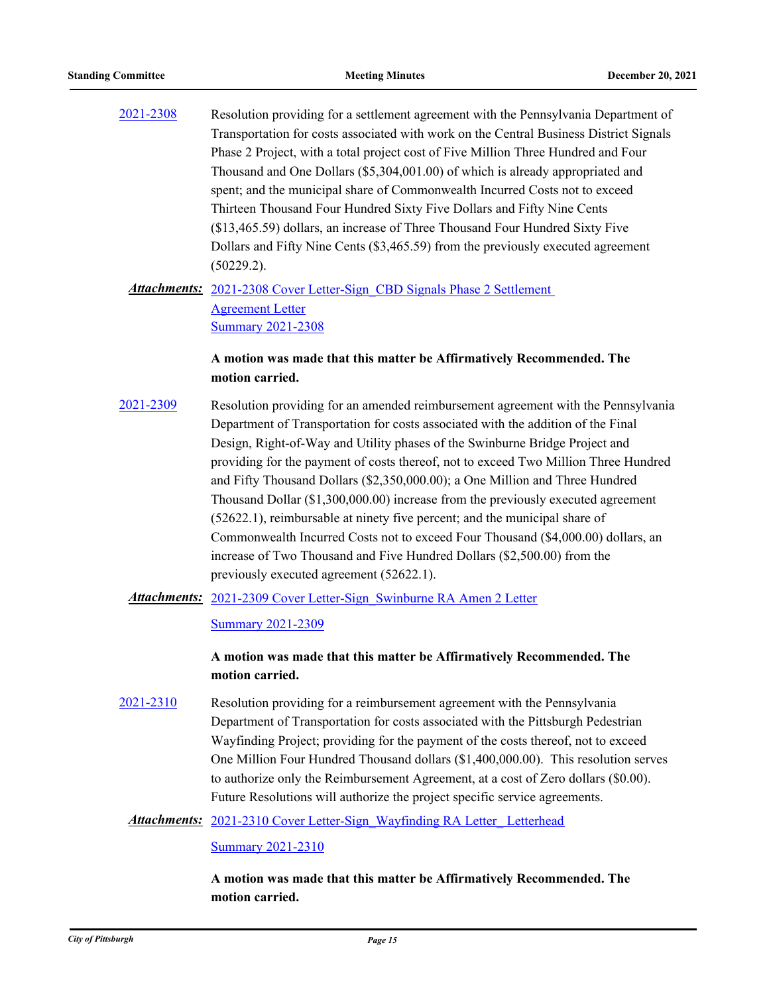[2021-2308](http://pittsburgh.legistar.com/gateway.aspx?m=l&id=/matter.aspx?key=27211) Resolution providing for a settlement agreement with the Pennsylvania Department of Transportation for costs associated with work on the Central Business District Signals Phase 2 Project, with a total project cost of Five Million Three Hundred and Four Thousand and One Dollars (\$5,304,001.00) of which is already appropriated and spent; and the municipal share of Commonwealth Incurred Costs not to exceed Thirteen Thousand Four Hundred Sixty Five Dollars and Fifty Nine Cents (\$13,465.59) dollars, an increase of Three Thousand Four Hundred Sixty Five Dollars and Fifty Nine Cents (\$3,465.59) from the previously executed agreement (50229.2).

# Attachments: 2021-2308 Cover Letter-Sign CBD Signals Phase 2 Settlement Agreement Letter [Summary 2021-2308](http://pittsburgh.legistar.com/gateway.aspx?M=F&ID=b06ab433-3913-4b4c-bc89-9214a325add7.docx)

### **A motion was made that this matter be Affirmatively Recommended. The motion carried.**

[2021-2309](http://pittsburgh.legistar.com/gateway.aspx?m=l&id=/matter.aspx?key=27212) Resolution providing for an amended reimbursement agreement with the Pennsylvania Department of Transportation for costs associated with the addition of the Final Design, Right-of-Way and Utility phases of the Swinburne Bridge Project and providing for the payment of costs thereof, not to exceed Two Million Three Hundred and Fifty Thousand Dollars (\$2,350,000.00); a One Million and Three Hundred Thousand Dollar (\$1,300,000.00) increase from the previously executed agreement (52622.1), reimbursable at ninety five percent; and the municipal share of Commonwealth Incurred Costs not to exceed Four Thousand (\$4,000.00) dollars, an increase of Two Thousand and Five Hundred Dollars (\$2,500.00) from the previously executed agreement (52622.1).

Attachments: 2021-2309 Cover Letter-Sign Swinburne RA Amen 2 Letter

[Summary 2021-2309](http://pittsburgh.legistar.com/gateway.aspx?M=F&ID=a8ee2f30-4c8d-4639-a2c0-b57cd8e03923.docx)

# **A motion was made that this matter be Affirmatively Recommended. The motion carried.**

- [2021-2310](http://pittsburgh.legistar.com/gateway.aspx?m=l&id=/matter.aspx?key=27213) Resolution providing for a reimbursement agreement with the Pennsylvania Department of Transportation for costs associated with the Pittsburgh Pedestrian Wayfinding Project; providing for the payment of the costs thereof, not to exceed One Million Four Hundred Thousand dollars (\$1,400,000.00). This resolution serves to authorize only the Reimbursement Agreement, at a cost of Zero dollars (\$0.00). Future Resolutions will authorize the project specific service agreements.
	- Attachments: [2021-2310 Cover Letter-Sign\\_Wayfinding RA Letter\\_ Letterhead](http://pittsburgh.legistar.com/gateway.aspx?M=F&ID=d26a45eb-ac17-4d75-abfe-b71f61922efc.docx)

#### [Summary 2021-2310](http://pittsburgh.legistar.com/gateway.aspx?M=F&ID=eb7f874c-bb49-4421-86d4-2d41dee82bb6.docx)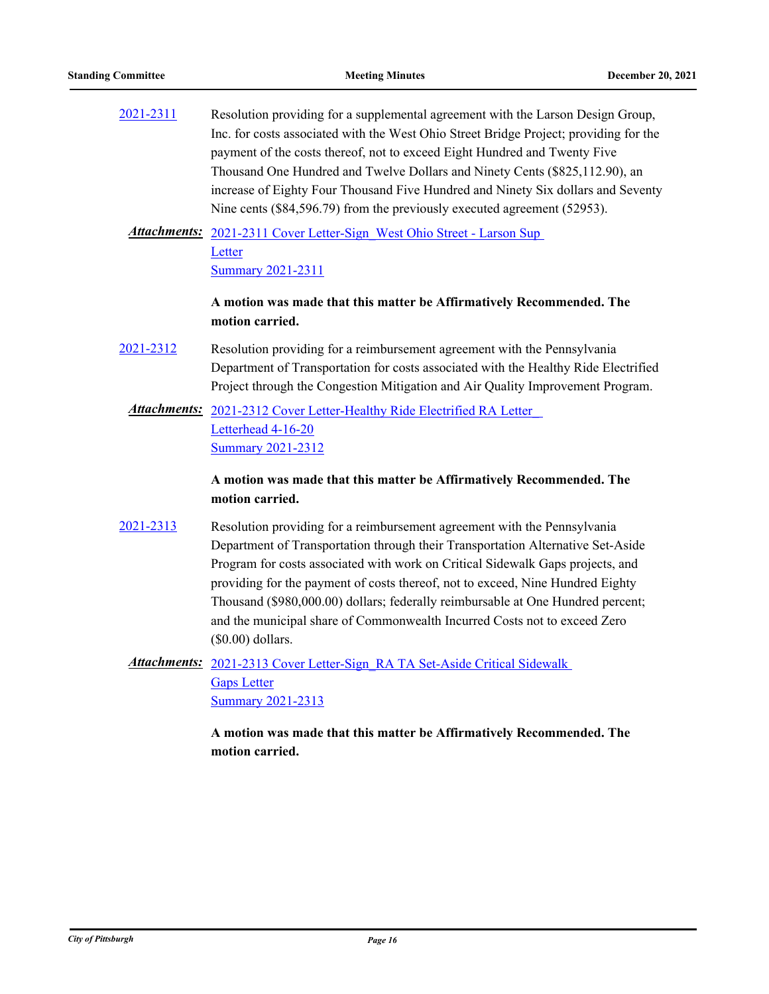- [2021-2311](http://pittsburgh.legistar.com/gateway.aspx?m=l&id=/matter.aspx?key=27214) Resolution providing for a supplemental agreement with the Larson Design Group, Inc. for costs associated with the West Ohio Street Bridge Project; providing for the payment of the costs thereof, not to exceed Eight Hundred and Twenty Five Thousand One Hundred and Twelve Dollars and Ninety Cents (\$825,112.90), an increase of Eighty Four Thousand Five Hundred and Ninety Six dollars and Seventy Nine cents (\$84,596.79) from the previously executed agreement (52953).
	- Attachments: 2021-2311 Cover Letter-Sign West Ohio Street Larson Sup **Letter** [Summary 2021-2311](http://pittsburgh.legistar.com/gateway.aspx?M=F&ID=67ef50b4-b8d7-4169-bbfa-7beba667768f.docx)

### **A motion was made that this matter be Affirmatively Recommended. The motion carried.**

- [2021-2312](http://pittsburgh.legistar.com/gateway.aspx?m=l&id=/matter.aspx?key=27215) Resolution providing for a reimbursement agreement with the Pennsylvania Department of Transportation for costs associated with the Healthy Ride Electrified Project through the Congestion Mitigation and Air Quality Improvement Program.
	- Attachments: 2021-2312 Cover Letter-Healthy Ride Electrified RA Letter Letterhead 4-16-20 [Summary 2021-2312](http://pittsburgh.legistar.com/gateway.aspx?M=F&ID=71ef550f-b7e6-4224-aa82-1e8b07936a43.docx)

### **A motion was made that this matter be Affirmatively Recommended. The motion carried.**

- [2021-2313](http://pittsburgh.legistar.com/gateway.aspx?m=l&id=/matter.aspx?key=27216) Resolution providing for a reimbursement agreement with the Pennsylvania Department of Transportation through their Transportation Alternative Set-Aside Program for costs associated with work on Critical Sidewalk Gaps projects, and providing for the payment of costs thereof, not to exceed, Nine Hundred Eighty Thousand (\$980,000.00) dollars; federally reimbursable at One Hundred percent; and the municipal share of Commonwealth Incurred Costs not to exceed Zero (\$0.00) dollars.
	- Attachments: 2021-2313 Cover Letter-Sign\_RA TA Set-Aside Critical Sidewalk Gaps Letter [Summary 2021-2313](http://pittsburgh.legistar.com/gateway.aspx?M=F&ID=d2497bf4-9774-4993-bb33-50e1739d56cc.docx)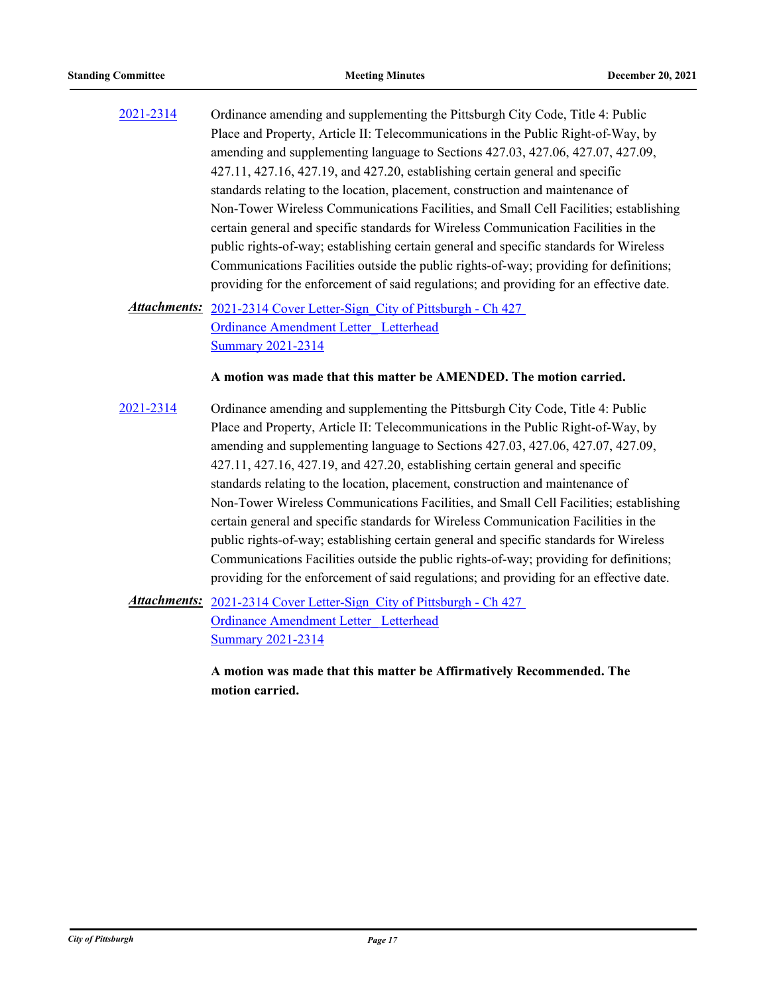[2021-2314](http://pittsburgh.legistar.com/gateway.aspx?m=l&id=/matter.aspx?key=27217) Ordinance amending and supplementing the Pittsburgh City Code, Title 4: Public Place and Property, Article II: Telecommunications in the Public Right-of-Way, by amending and supplementing language to Sections 427.03, 427.06, 427.07, 427.09, 427.11, 427.16, 427.19, and 427.20, establishing certain general and specific standards relating to the location, placement, construction and maintenance of Non-Tower Wireless Communications Facilities, and Small Cell Facilities; establishing certain general and specific standards for Wireless Communication Facilities in the public rights-of-way; establishing certain general and specific standards for Wireless Communications Facilities outside the public rights-of-way; providing for definitions; providing for the enforcement of said regulations; and providing for an effective date.

# Attachments: 2021-2314 Cover Letter-Sign City of Pittsburgh - Ch 427 Ordinance Amendment Letter\_ Letterhead [Summary 2021-2314](http://pittsburgh.legistar.com/gateway.aspx?M=F&ID=dc400025-be3e-4732-b8ee-1f0b83cf99ac.docx)

#### **A motion was made that this matter be AMENDED. The motion carried.**

[2021-2314](http://pittsburgh.legistar.com/gateway.aspx?m=l&id=/matter.aspx?key=27217) Ordinance amending and supplementing the Pittsburgh City Code, Title 4: Public Place and Property, Article II: Telecommunications in the Public Right-of-Way, by amending and supplementing language to Sections 427.03, 427.06, 427.07, 427.09, 427.11, 427.16, 427.19, and 427.20, establishing certain general and specific standards relating to the location, placement, construction and maintenance of Non-Tower Wireless Communications Facilities, and Small Cell Facilities; establishing certain general and specific standards for Wireless Communication Facilities in the public rights-of-way; establishing certain general and specific standards for Wireless Communications Facilities outside the public rights-of-way; providing for definitions; providing for the enforcement of said regulations; and providing for an effective date.

Attachments: 2021-2314 Cover Letter-Sign City of Pittsburgh - Ch 427 Ordinance Amendment Letter\_ Letterhead [Summary 2021-2314](http://pittsburgh.legistar.com/gateway.aspx?M=F&ID=dc400025-be3e-4732-b8ee-1f0b83cf99ac.docx)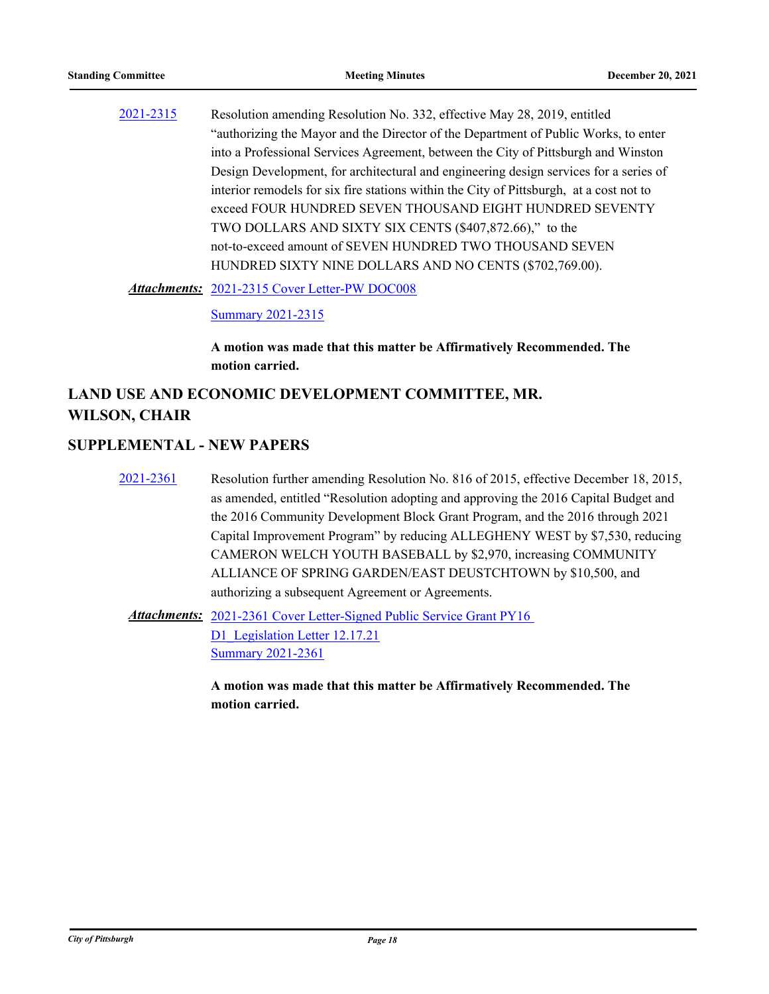[2021-2315](http://pittsburgh.legistar.com/gateway.aspx?m=l&id=/matter.aspx?key=27218) Resolution amending Resolution No. 332, effective May 28, 2019, entitled "authorizing the Mayor and the Director of the Department of Public Works, to enter into a Professional Services Agreement, between the City of Pittsburgh and Winston Design Development, for architectural and engineering design services for a series of interior remodels for six fire stations within the City of Pittsburgh, at a cost not to exceed FOUR HUNDRED SEVEN THOUSAND EIGHT HUNDRED SEVENTY TWO DOLLARS AND SIXTY SIX CENTS (\$407,872.66)," to the not-to-exceed amount of SEVEN HUNDRED TWO THOUSAND SEVEN HUNDRED SIXTY NINE DOLLARS AND NO CENTS (\$702,769.00).

[2021-2315 Cover Letter-PW DOC008](http://pittsburgh.legistar.com/gateway.aspx?M=F&ID=e697c12a-e1ed-4bf5-8cc3-3d46b8b5dd20.PDF) *Attachments:*

[Summary 2021-2315](http://pittsburgh.legistar.com/gateway.aspx?M=F&ID=6deded91-b39a-47f9-898c-0cbc7dbf1e61.docx)

**A motion was made that this matter be Affirmatively Recommended. The motion carried.**

# **LAND USE AND ECONOMIC DEVELOPMENT COMMITTEE, MR. WILSON, CHAIR**

#### **SUPPLEMENTAL - NEW PAPERS**

[2021-2361](http://pittsburgh.legistar.com/gateway.aspx?m=l&id=/matter.aspx?key=27269) Resolution further amending Resolution No. 816 of 2015, effective December 18, 2015, as amended, entitled "Resolution adopting and approving the 2016 Capital Budget and the 2016 Community Development Block Grant Program, and the 2016 through 2021 Capital Improvement Program" by reducing ALLEGHENY WEST by \$7,530, reducing CAMERON WELCH YOUTH BASEBALL by \$2,970, increasing COMMUNITY ALLIANCE OF SPRING GARDEN/EAST DEUSTCHTOWN by \$10,500, and authorizing a subsequent Agreement or Agreements.

Attachments: 2021-2361 Cover Letter-Signed Public Service Grant PY16 D1 Legislation Letter 12.17.21 [Summary 2021-2361](http://pittsburgh.legistar.com/gateway.aspx?M=F&ID=5d9bbe09-a9e5-45a3-8088-02dd3ca2afb7.docx)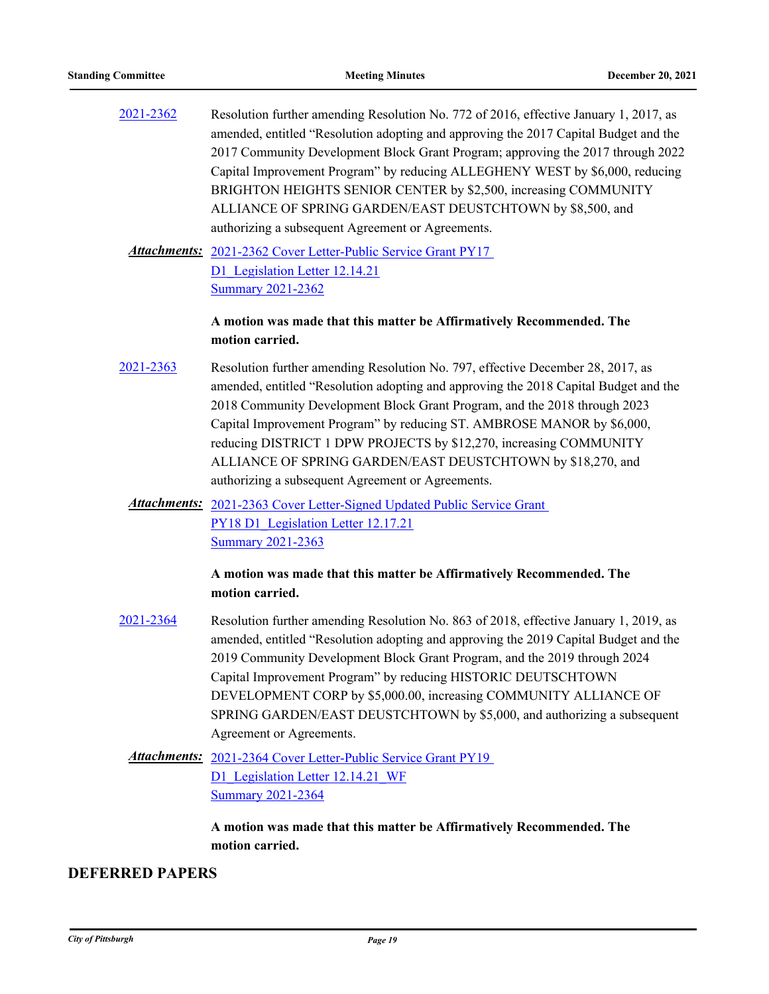| 2021-2362 | Resolution further amending Resolution No. 772 of 2016, effective January 1, 2017, as |
|-----------|---------------------------------------------------------------------------------------|
|           | amended, entitled "Resolution adopting and approving the 2017 Capital Budget and the  |
|           | 2017 Community Development Block Grant Program; approving the 2017 through 2022       |
|           | Capital Improvement Program" by reducing ALLEGHENY WEST by \$6,000, reducing          |
|           | BRIGHTON HEIGHTS SENIOR CENTER by \$2,500, increasing COMMUNITY                       |
|           | ALLIANCE OF SPRING GARDEN/EAST DEUSTCHTOWN by \$8,500, and                            |
|           | authorizing a subsequent Agreement or Agreements.                                     |
|           |                                                                                       |

Attachments: 2021-2362 Cover Letter-Public Service Grant PY17 D1 Legislation Letter 12.14.21 [Summary 2021-2362](http://pittsburgh.legistar.com/gateway.aspx?M=F&ID=46ab563f-529f-431d-9599-4bd92952a1da.docx)

### **A motion was made that this matter be Affirmatively Recommended. The motion carried.**

- [2021-2363](http://pittsburgh.legistar.com/gateway.aspx?m=l&id=/matter.aspx?key=27271) Resolution further amending Resolution No. 797, effective December 28, 2017, as amended, entitled "Resolution adopting and approving the 2018 Capital Budget and the 2018 Community Development Block Grant Program, and the 2018 through 2023 Capital Improvement Program" by reducing ST. AMBROSE MANOR by \$6,000, reducing DISTRICT 1 DPW PROJECTS by \$12,270, increasing COMMUNITY ALLIANCE OF SPRING GARDEN/EAST DEUSTCHTOWN by \$18,270, and authorizing a subsequent Agreement or Agreements.
	- Attachments: 2021-2363 Cover Letter-Signed Updated Public Service Grant PY18 D1 Legislation Letter 12.17.21 [Summary 2021-2363](http://pittsburgh.legistar.com/gateway.aspx?M=F&ID=0a016c77-2edb-4f1b-88dd-8c58b6492628.docx)

**A motion was made that this matter be Affirmatively Recommended. The motion carried.**

- [2021-2364](http://pittsburgh.legistar.com/gateway.aspx?m=l&id=/matter.aspx?key=27272) Resolution further amending Resolution No. 863 of 2018, effective January 1, 2019, as amended, entitled "Resolution adopting and approving the 2019 Capital Budget and the 2019 Community Development Block Grant Program, and the 2019 through 2024 Capital Improvement Program" by reducing HISTORIC DEUTSCHTOWN DEVELOPMENT CORP by \$5,000.00, increasing COMMUNITY ALLIANCE OF SPRING GARDEN/EAST DEUSTCHTOWN by \$5,000, and authorizing a subsequent Agreement or Agreements.
	- Attachments: 2021-2364 Cover Letter-Public Service Grant PY19 D1 Legislation Letter 12.14.21 WF [Summary 2021-2364](http://pittsburgh.legistar.com/gateway.aspx?M=F&ID=4c4d2808-b2c4-449a-81e3-d56bf5c77611.docx)

**A motion was made that this matter be Affirmatively Recommended. The motion carried.**

# **DEFERRED PAPERS**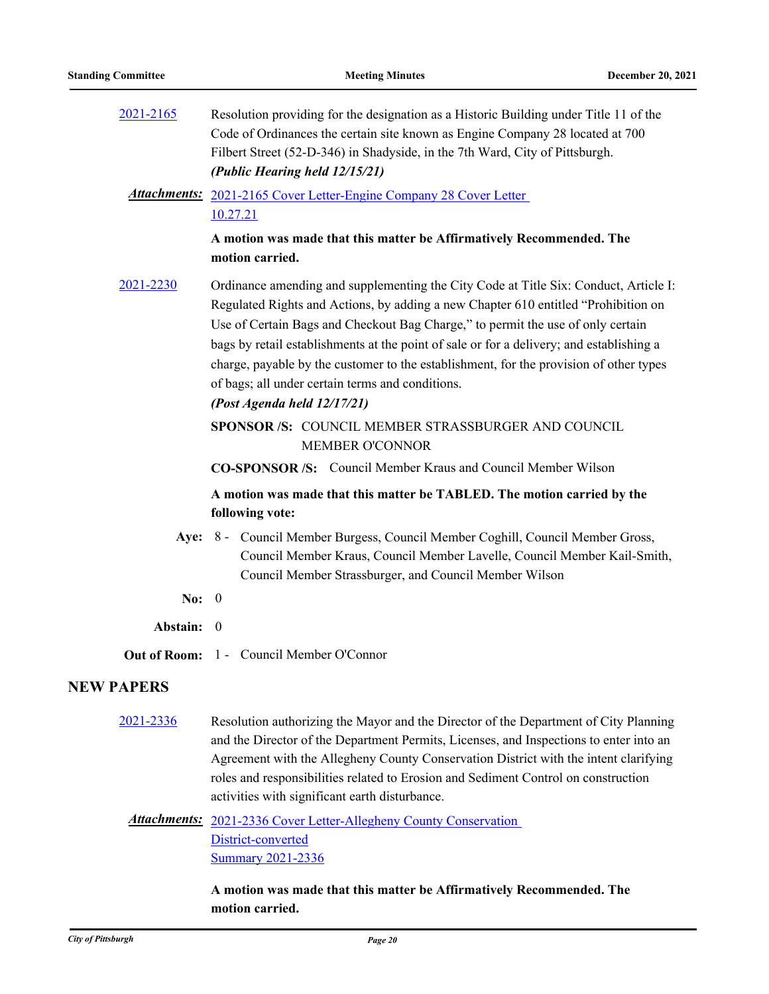[2021-2165](http://pittsburgh.legistar.com/gateway.aspx?m=l&id=/matter.aspx?key=27058) Resolution providing for the designation as a Historic Building under Title 11 of the Code of Ordinances the certain site known as Engine Company 28 located at 700 Filbert Street (52-D-346) in Shadyside, in the 7th Ward, City of Pittsburgh. *(Public Hearing held 12/15/21)*

### Attachments: 2021-2165 Cover Letter-Engine Company 28 Cover Letter 10.27.21

#### **A motion was made that this matter be Affirmatively Recommended. The motion carried.**

[2021-2230](http://pittsburgh.legistar.com/gateway.aspx?m=l&id=/matter.aspx?key=27133) Ordinance amending and supplementing the City Code at Title Six: Conduct, Article I: Regulated Rights and Actions, by adding a new Chapter 610 entitled "Prohibition on Use of Certain Bags and Checkout Bag Charge," to permit the use of only certain bags by retail establishments at the point of sale or for a delivery; and establishing a charge, payable by the customer to the establishment, for the provision of other types of bags; all under certain terms and conditions.

#### *(Post Agenda held 12/17/21)*

SPONSOR /S: COUNCIL MEMBER STRASSBURGER AND COUNCIL MEMBER O'CONNOR

**CO-SPONSOR /S:** Council Member Kraus and Council Member Wilson

## **A motion was made that this matter be TABLED. The motion carried by the following vote:**

- Aye: 8 Council Member Burgess, Council Member Coghill, Council Member Gross, Council Member Kraus, Council Member Lavelle, Council Member Kail-Smith, Council Member Strassburger, and Council Member Wilson
- **No:** 0

**Abstain:** 0

**Out of Room:** 1 - Council Member O'Connor

#### **NEW PAPERS**

[2021-2336](http://pittsburgh.legistar.com/gateway.aspx?m=l&id=/matter.aspx?key=27239) Resolution authorizing the Mayor and the Director of the Department of City Planning and the Director of the Department Permits, Licenses, and Inspections to enter into an Agreement with the Allegheny County Conservation District with the intent clarifying roles and responsibilities related to Erosion and Sediment Control on construction activities with significant earth disturbance.

# Attachments: 2021-2336 Cover Letter-Allegheny County Conservation District-converted [Summary 2021-2336](http://pittsburgh.legistar.com/gateway.aspx?M=F&ID=af278c5e-b8f7-43f9-83cb-8fd136bbaf37.docx)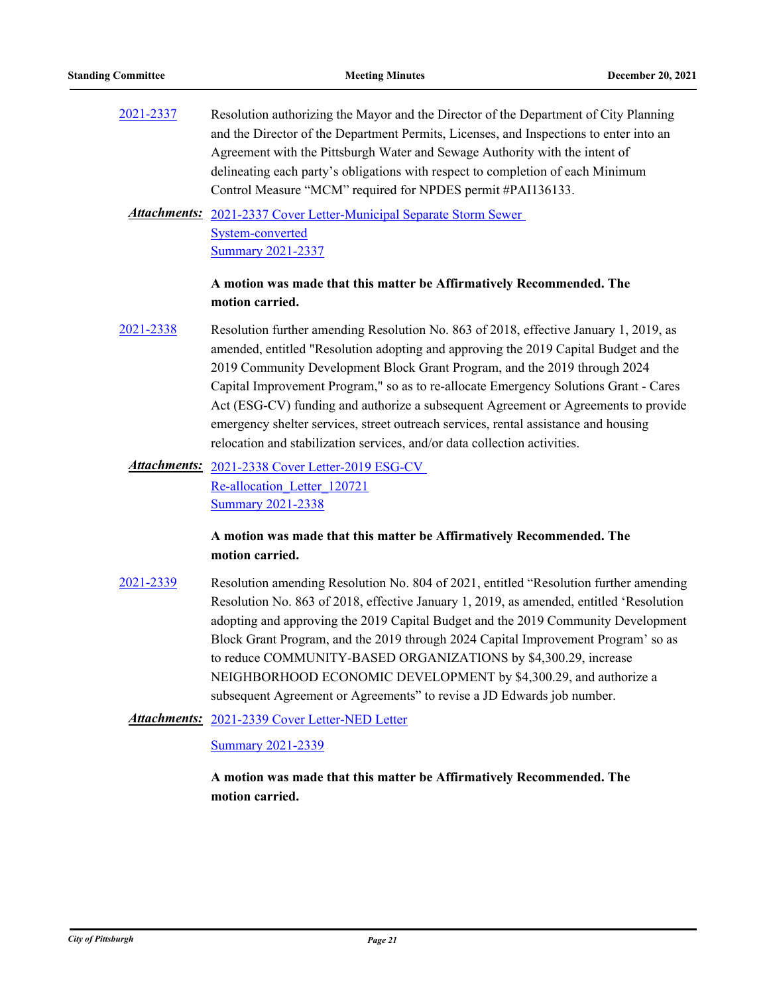[2021-2337](http://pittsburgh.legistar.com/gateway.aspx?m=l&id=/matter.aspx?key=27240) Resolution authorizing the Mayor and the Director of the Department of City Planning and the Director of the Department Permits, Licenses, and Inspections to enter into an Agreement with the Pittsburgh Water and Sewage Authority with the intent of delineating each party's obligations with respect to completion of each Minimum Control Measure "MCM" required for NPDES permit #PAI136133.

Attachments: 2021-2337 Cover Letter-Municipal Separate Storm Sewer System-converted [Summary 2021-2337](http://pittsburgh.legistar.com/gateway.aspx?M=F&ID=e401049c-70be-467f-a4b2-95781c0e3f20.docx)

### **A motion was made that this matter be Affirmatively Recommended. The motion carried.**

- [2021-2338](http://pittsburgh.legistar.com/gateway.aspx?m=l&id=/matter.aspx?key=27241) Resolution further amending Resolution No. 863 of 2018, effective January 1, 2019, as amended, entitled "Resolution adopting and approving the 2019 Capital Budget and the 2019 Community Development Block Grant Program, and the 2019 through 2024 Capital Improvement Program," so as to re-allocate Emergency Solutions Grant - Cares Act (ESG-CV) funding and authorize a subsequent Agreement or Agreements to provide emergency shelter services, street outreach services, rental assistance and housing relocation and stabilization services, and/or data collection activities.
	- Attachments: 2021-2338 Cover Letter-2019 ESG-CV Re-allocation\_Letter\_120721 [Summary 2021-2338](http://pittsburgh.legistar.com/gateway.aspx?M=F&ID=8ff6efd3-a14b-42f8-a730-3a2b996b5436.docx)

### **A motion was made that this matter be Affirmatively Recommended. The motion carried.**

[2021-2339](http://pittsburgh.legistar.com/gateway.aspx?m=l&id=/matter.aspx?key=27242) Resolution amending Resolution No. 804 of 2021, entitled "Resolution further amending Resolution No. 863 of 2018, effective January 1, 2019, as amended, entitled 'Resolution adopting and approving the 2019 Capital Budget and the 2019 Community Development Block Grant Program, and the 2019 through 2024 Capital Improvement Program' so as to reduce COMMUNITY-BASED ORGANIZATIONS by \$4,300.29, increase NEIGHBORHOOD ECONOMIC DEVELOPMENT by \$4,300.29, and authorize a subsequent Agreement or Agreements" to revise a JD Edwards job number.

Attachments: [2021-2339 Cover Letter-NED Letter](http://pittsburgh.legistar.com/gateway.aspx?M=F&ID=d5932733-8603-42cc-990d-6e8f51c9a986.docx)

[Summary 2021-2339](http://pittsburgh.legistar.com/gateway.aspx?M=F&ID=90453ebe-c14d-44a4-99a3-4fb0925bc847.docx)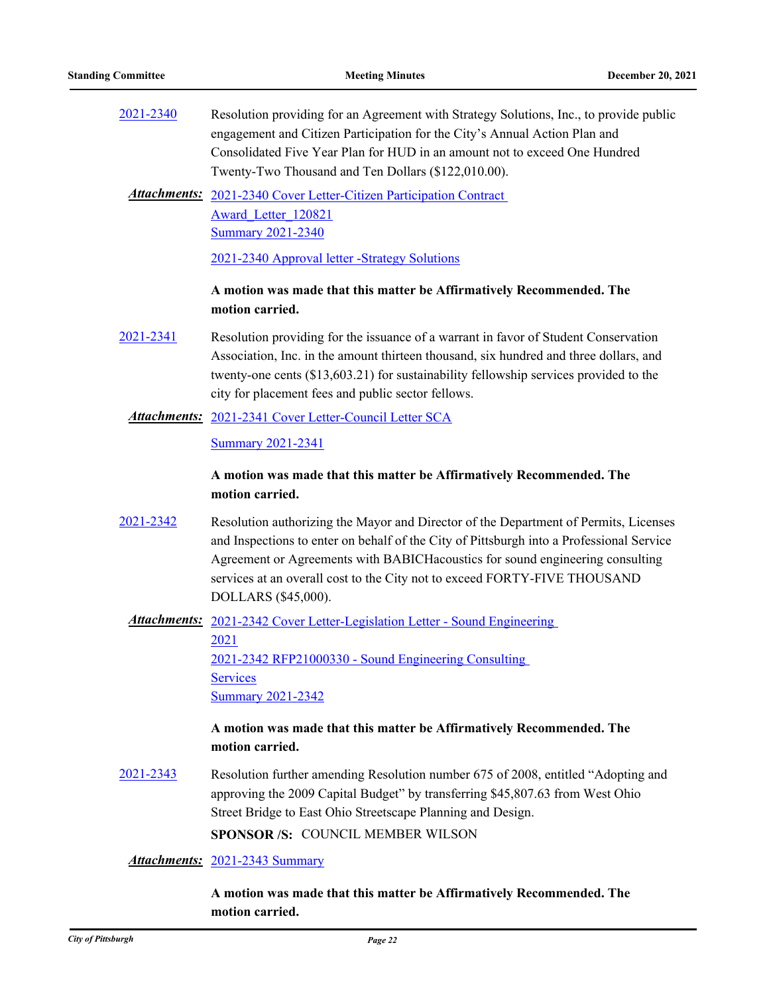| 2021-2340 | Resolution providing for an Agreement with Strategy Solutions, Inc., to provide public |
|-----------|----------------------------------------------------------------------------------------|
|           | engagement and Citizen Participation for the City's Annual Action Plan and             |
|           | Consolidated Five Year Plan for HUD in an amount not to exceed One Hundred             |
|           | Twenty-Two Thousand and Ten Dollars (\$122,010.00).                                    |

Attachments: 2021-2340 Cover Letter-Citizen Participation Contract Award\_Letter\_120821 [Summary 2021-2340](http://pittsburgh.legistar.com/gateway.aspx?M=F&ID=a5d9f56a-e4b0-4de0-b795-387f0fb874ea.docx)

[2021-2340 Approval letter -Strategy Solutions](http://pittsburgh.legistar.com/gateway.aspx?M=F&ID=d7f263e4-bf36-4602-b94d-07ada9fe9422.pdf)

#### **A motion was made that this matter be Affirmatively Recommended. The motion carried.**

[2021-2341](http://pittsburgh.legistar.com/gateway.aspx?m=l&id=/matter.aspx?key=27244) Resolution providing for the issuance of a warrant in favor of Student Conservation Association, Inc. in the amount thirteen thousand, six hundred and three dollars, and twenty-one cents (\$13,603.21) for sustainability fellowship services provided to the city for placement fees and public sector fellows.

#### Attachments: [2021-2341 Cover Letter-Council Letter SCA](http://pittsburgh.legistar.com/gateway.aspx?M=F&ID=feec52a2-74ae-4a8a-a6ab-15710e19802b.docx)

[Summary 2021-2341](http://pittsburgh.legistar.com/gateway.aspx?M=F&ID=b41f083c-16aa-444f-a456-9832b7289458.docx)

### **A motion was made that this matter be Affirmatively Recommended. The motion carried.**

[2021-2342](http://pittsburgh.legistar.com/gateway.aspx?m=l&id=/matter.aspx?key=27245) Resolution authorizing the Mayor and Director of the Department of Permits, Licenses and Inspections to enter on behalf of the City of Pittsburgh into a Professional Service Agreement or Agreements with BABICHacoustics for sound engineering consulting services at an overall cost to the City not to exceed FORTY-FIVE THOUSAND DOLLARS (\$45,000).

Attachments: 2021-2342 Cover Letter-Legislation Letter - Sound Engineering 2021 [2021-2342 RFP21000330 - Sound Engineering Consulting](http://pittsburgh.legistar.com/gateway.aspx?M=F&ID=abc28385-db09-40cb-943c-bda14ca72e24.pdf)  **Services** [Summary 2021-2342](http://pittsburgh.legistar.com/gateway.aspx?M=F&ID=45e32870-8c40-42b5-94bb-61e2d2869363.docx)

### **A motion was made that this matter be Affirmatively Recommended. The motion carried.**

[2021-2343](http://pittsburgh.legistar.com/gateway.aspx?m=l&id=/matter.aspx?key=27246) Resolution further amending Resolution number 675 of 2008, entitled "Adopting and approving the 2009 Capital Budget" by transferring \$45,807.63 from West Ohio Street Bridge to East Ohio Streetscape Planning and Design.

**SPONSOR /S:** COUNCIL MEMBER WILSON

*Attachments:* [2021-2343 Summary](http://pittsburgh.legistar.com/gateway.aspx?M=F&ID=dca036e3-9a8d-4b08-92bc-9e31d7ee7418.docx)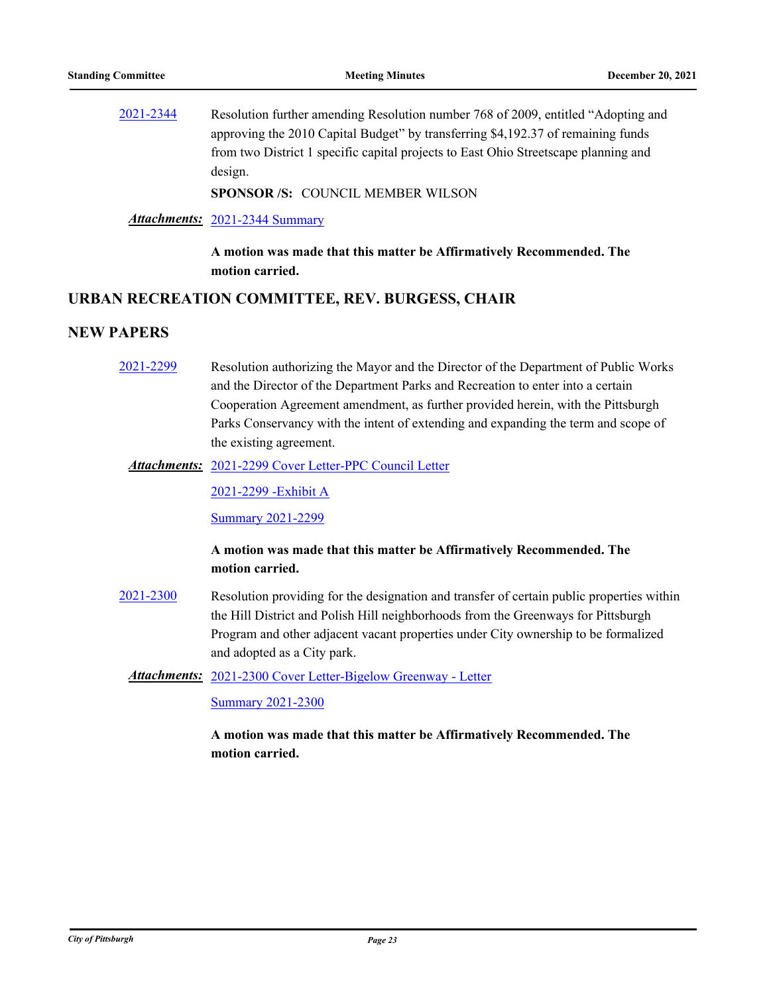[2021-2344](http://pittsburgh.legistar.com/gateway.aspx?m=l&id=/matter.aspx?key=27247) Resolution further amending Resolution number 768 of 2009, entitled "Adopting and approving the 2010 Capital Budget" by transferring \$4,192.37 of remaining funds from two District 1 specific capital projects to East Ohio Streetscape planning and design.

**SPONSOR /S:** COUNCIL MEMBER WILSON

#### *Attachments:* [2021-2344 Summary](http://pittsburgh.legistar.com/gateway.aspx?M=F&ID=1248e956-91df-4fbf-8b7e-c2e9afd48036.docx)

**A motion was made that this matter be Affirmatively Recommended. The motion carried.**

#### **URBAN RECREATION COMMITTEE, REV. BURGESS, CHAIR**

# **NEW PAPERS**

- [2021-2299](http://pittsburgh.legistar.com/gateway.aspx?m=l&id=/matter.aspx?key=27202) Resolution authorizing the Mayor and the Director of the Department of Public Works and the Director of the Department Parks and Recreation to enter into a certain Cooperation Agreement amendment, as further provided herein, with the Pittsburgh Parks Conservancy with the intent of extending and expanding the term and scope of the existing agreement.
	- [2021-2299 Cover Letter-PPC Council Letter](http://pittsburgh.legistar.com/gateway.aspx?M=F&ID=e98cd70a-8461-4e01-9e13-3f179bf05291.pdf) *Attachments:*

[2021-2299 -Exhibit A](http://pittsburgh.legistar.com/gateway.aspx?M=F&ID=3aaf7540-e67a-49c9-9c34-65f19034cf52.docx)

[Summary 2021-2299](http://pittsburgh.legistar.com/gateway.aspx?M=F&ID=68b5464e-ffcb-4e50-8adb-b3c22f0885c9.docx)

#### **A motion was made that this matter be Affirmatively Recommended. The motion carried.**

[2021-2300](http://pittsburgh.legistar.com/gateway.aspx?m=l&id=/matter.aspx?key=27203) Resolution providing for the designation and transfer of certain public properties within the Hill District and Polish Hill neighborhoods from the Greenways for Pittsburgh Program and other adjacent vacant properties under City ownership to be formalized and adopted as a City park.

Attachments: [2021-2300 Cover Letter-Bigelow Greenway - Letter](http://pittsburgh.legistar.com/gateway.aspx?M=F&ID=713d0b45-7656-4329-b60a-feea9339ba1b.docx)

[Summary 2021-2300](http://pittsburgh.legistar.com/gateway.aspx?M=F&ID=69ed35e8-c1ec-4b14-94c8-26e4c7823dfe.docx)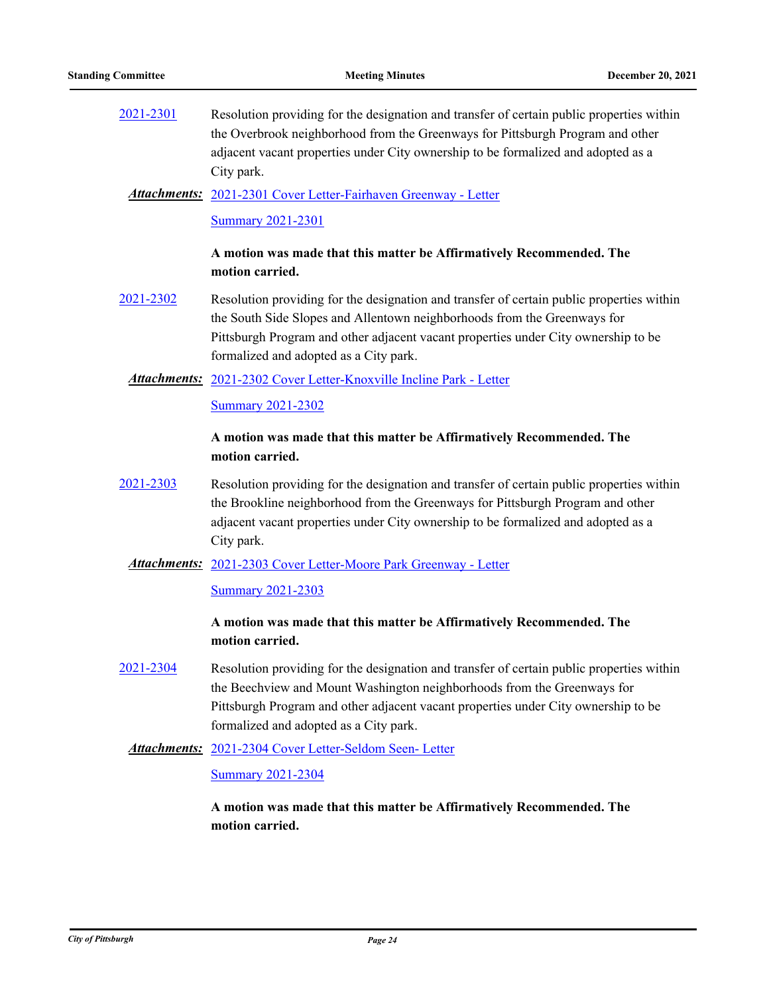[2021-2301](http://pittsburgh.legistar.com/gateway.aspx?m=l&id=/matter.aspx?key=27204) Resolution providing for the designation and transfer of certain public properties within the Overbrook neighborhood from the Greenways for Pittsburgh Program and other adjacent vacant properties under City ownership to be formalized and adopted as a City park.

#### [2021-2301 Cover Letter-Fairhaven Greenway - Letter](http://pittsburgh.legistar.com/gateway.aspx?M=F&ID=7d955c1e-5aa0-416e-a06c-6e27d2c319dc.docx) *Attachments:*

#### [Summary 2021-2301](http://pittsburgh.legistar.com/gateway.aspx?M=F&ID=069165f5-16b4-4989-bdda-c8c5f345dad5.docx)

### **A motion was made that this matter be Affirmatively Recommended. The motion carried.**

[2021-2302](http://pittsburgh.legistar.com/gateway.aspx?m=l&id=/matter.aspx?key=27205) Resolution providing for the designation and transfer of certain public properties within the South Side Slopes and Allentown neighborhoods from the Greenways for Pittsburgh Program and other adjacent vacant properties under City ownership to be formalized and adopted as a City park.

#### Attachments: [2021-2302 Cover Letter-Knoxville Incline Park - Letter](http://pittsburgh.legistar.com/gateway.aspx?M=F&ID=f0a6ebab-74ac-4b36-9a1c-e9200dac9c84.docx)

[Summary 2021-2302](http://pittsburgh.legistar.com/gateway.aspx?M=F&ID=3d8acdbe-6719-415f-8640-f8b96126054d.docx)

#### **A motion was made that this matter be Affirmatively Recommended. The motion carried.**

[2021-2303](http://pittsburgh.legistar.com/gateway.aspx?m=l&id=/matter.aspx?key=27206) Resolution providing for the designation and transfer of certain public properties within the Brookline neighborhood from the Greenways for Pittsburgh Program and other adjacent vacant properties under City ownership to be formalized and adopted as a City park.

#### Attachments: [2021-2303 Cover Letter-Moore Park Greenway - Letter](http://pittsburgh.legistar.com/gateway.aspx?M=F&ID=d43f680b-5216-4d5b-9173-8ce3bccc7fa3.docx)

#### [Summary 2021-2303](http://pittsburgh.legistar.com/gateway.aspx?M=F&ID=9c023232-3cc1-4b71-b5fa-8125c81f3f48.docx)

# **A motion was made that this matter be Affirmatively Recommended. The motion carried.**

[2021-2304](http://pittsburgh.legistar.com/gateway.aspx?m=l&id=/matter.aspx?key=27207) Resolution providing for the designation and transfer of certain public properties within the Beechview and Mount Washington neighborhoods from the Greenways for Pittsburgh Program and other adjacent vacant properties under City ownership to be formalized and adopted as a City park.

#### [2021-2304 Cover Letter-Seldom Seen- Letter](http://pittsburgh.legistar.com/gateway.aspx?M=F&ID=90f13ff8-ee08-43f0-aaee-40eb8d202ed6.docx) *Attachments:*

#### [Summary 2021-2304](http://pittsburgh.legistar.com/gateway.aspx?M=F&ID=fca427de-7ef8-4b63-a8e0-120f3827d7ad.docx)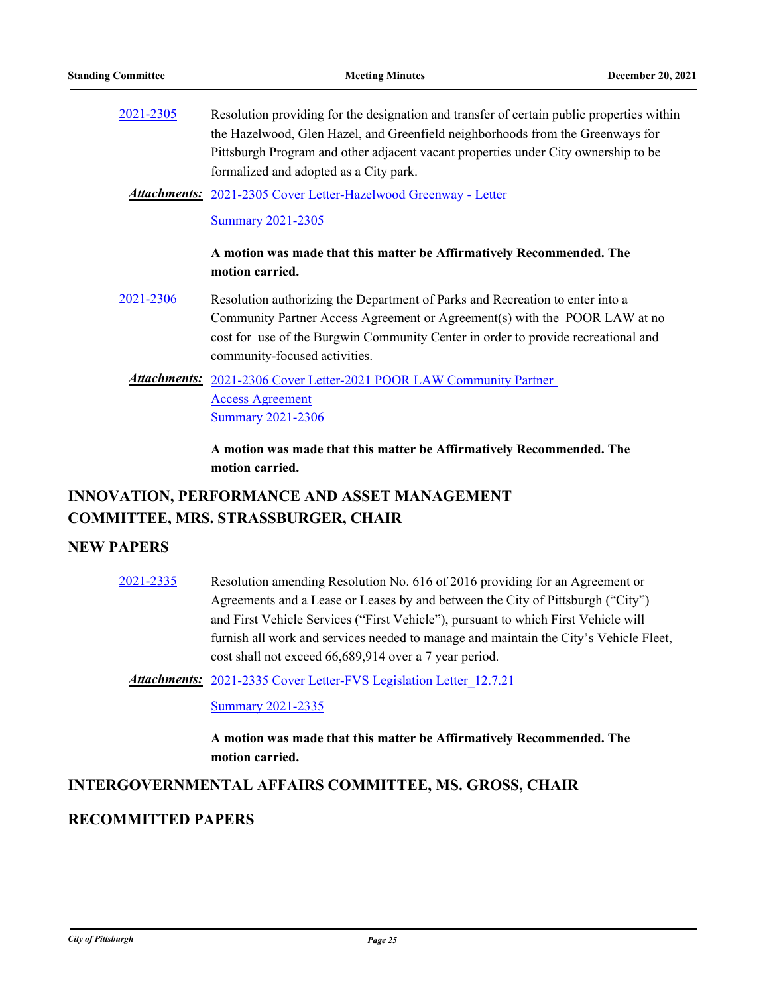[2021-2305](http://pittsburgh.legistar.com/gateway.aspx?m=l&id=/matter.aspx?key=27208) Resolution providing for the designation and transfer of certain public properties within the Hazelwood, Glen Hazel, and Greenfield neighborhoods from the Greenways for Pittsburgh Program and other adjacent vacant properties under City ownership to be formalized and adopted as a City park.

[2021-2305 Cover Letter-Hazelwood Greenway - Letter](http://pittsburgh.legistar.com/gateway.aspx?M=F&ID=0642dc18-cfb8-4fce-b006-3e2771c71d94.docx) *Attachments:*

**[Summary 2021-2305](http://pittsburgh.legistar.com/gateway.aspx?M=F&ID=e85f278d-427b-429c-8b40-fb762fa7f158.docx)** 

**A motion was made that this matter be Affirmatively Recommended. The motion carried.**

- [2021-2306](http://pittsburgh.legistar.com/gateway.aspx?m=l&id=/matter.aspx?key=27209) Resolution authorizing the Department of Parks and Recreation to enter into a Community Partner Access Agreement or Agreement(s) with the POOR LAW at no cost for use of the Burgwin Community Center in order to provide recreational and community-focused activities.
	- Attachments: 2021-2306 Cover Letter-2021 POOR LAW Community Partner Access Agreement **[Summary 2021-2306](http://pittsburgh.legistar.com/gateway.aspx?M=F&ID=9bd6252f-8c0b-4004-905f-3899f3bc3d63.docx)**

**A motion was made that this matter be Affirmatively Recommended. The motion carried.**

# **INNOVATION, PERFORMANCE AND ASSET MANAGEMENT COMMITTEE, MRS. STRASSBURGER, CHAIR**

#### **NEW PAPERS**

[2021-2335](http://pittsburgh.legistar.com/gateway.aspx?m=l&id=/matter.aspx?key=27238) Resolution amending Resolution No. 616 of 2016 providing for an Agreement or Agreements and a Lease or Leases by and between the City of Pittsburgh ("City") and First Vehicle Services ("First Vehicle"), pursuant to which First Vehicle will furnish all work and services needed to manage and maintain the City's Vehicle Fleet, cost shall not exceed 66,689,914 over a 7 year period.

Attachments: 2021-2335 Cover Letter-FVS Legislation Letter 12.7.21

[Summary 2021-2335](http://pittsburgh.legistar.com/gateway.aspx?M=F&ID=8c3fc000-4bb0-4e99-87a2-d020ec00acc9.docx)

**A motion was made that this matter be Affirmatively Recommended. The motion carried.**

# **INTERGOVERNMENTAL AFFAIRS COMMITTEE, MS. GROSS, CHAIR**

#### **RECOMMITTED PAPERS**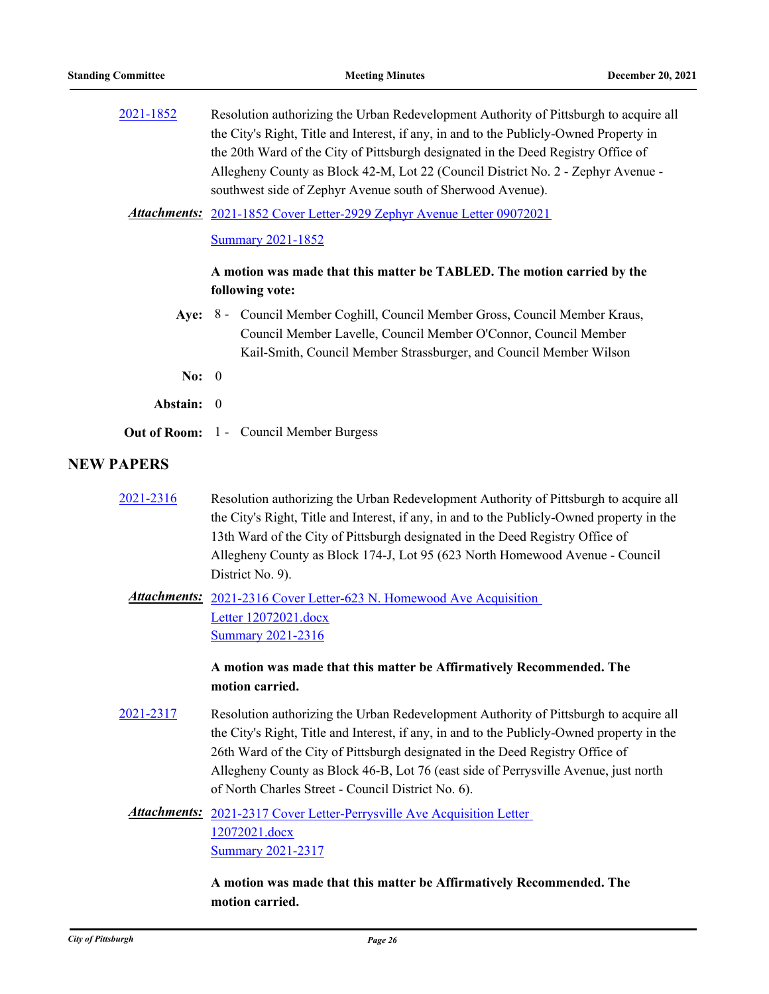| 2021-1852         | Resolution authorizing the Urban Redevelopment Authority of Pittsburgh to acquire all<br>the City's Right, Title and Interest, if any, in and to the Publicly-Owned Property in<br>the 20th Ward of the City of Pittsburgh designated in the Deed Registry Office of<br>Allegheny County as Block 42-M, Lot 22 (Council District No. 2 - Zephyr Avenue -<br>southwest side of Zephyr Avenue south of Sherwood Avenue). |  |
|-------------------|------------------------------------------------------------------------------------------------------------------------------------------------------------------------------------------------------------------------------------------------------------------------------------------------------------------------------------------------------------------------------------------------------------------------|--|
|                   | Attachments: 2021-1852 Cover Letter-2929 Zephyr Avenue Letter 09072021                                                                                                                                                                                                                                                                                                                                                 |  |
|                   | <b>Summary 2021-1852</b>                                                                                                                                                                                                                                                                                                                                                                                               |  |
|                   | A motion was made that this matter be TABLED. The motion carried by the<br>following vote:                                                                                                                                                                                                                                                                                                                             |  |
|                   | Aye: 8 - Council Member Coghill, Council Member Gross, Council Member Kraus,<br>Council Member Lavelle, Council Member O'Connor, Council Member<br>Kail-Smith, Council Member Strassburger, and Council Member Wilson                                                                                                                                                                                                  |  |
| No: $0$           |                                                                                                                                                                                                                                                                                                                                                                                                                        |  |
| Abstain: 0        |                                                                                                                                                                                                                                                                                                                                                                                                                        |  |
|                   | <b>Out of Room:</b> 1 - Council Member Burgess                                                                                                                                                                                                                                                                                                                                                                         |  |
| <b>NEW PAPERS</b> |                                                                                                                                                                                                                                                                                                                                                                                                                        |  |
| 2021-2316         | Resolution authorizing the Urban Redevelopment Authority of Pittsburgh to acquire all<br>the City's Right, Title and Interest, if any, in and to the Publicly-Owned property in the<br>13th Ward of the City of Pittsburgh designated in the Deed Registry Office of<br>Allegheny County as Block 174-J, Lot 95 (623 North Homewood Avenue - Council<br>District No. 9).                                               |  |
|                   | Attachments: 2021-2316 Cover Letter-623 N. Homewood Ave Acquisition<br>Letter 12072021.docx<br><b>Summary 2021-2316</b>                                                                                                                                                                                                                                                                                                |  |
|                   | A motion was made that this matter be Affirmatively Recommended. The<br>motion carried.                                                                                                                                                                                                                                                                                                                                |  |
| 2021-2317         | Resolution authorizing the Urban Redevelopment Authority of Pittsburgh to acquire all<br>the City's Right, Title and Interest, if any, in and to the Publicly-Owned property in the<br>26th Ward of the City of Pittsburgh designated in the Deed Registry Office of<br>Allegheny County as Block 46-B, Lot 76 (east side of Perrysville Avenue, just north<br>of North Charles Street - Council District No. 6).      |  |
|                   | Attachments: 2021-2317 Cover Letter-Perrysville Ave Acquisition Letter<br>12072021.docx<br><b>Summary 2021-2317</b>                                                                                                                                                                                                                                                                                                    |  |